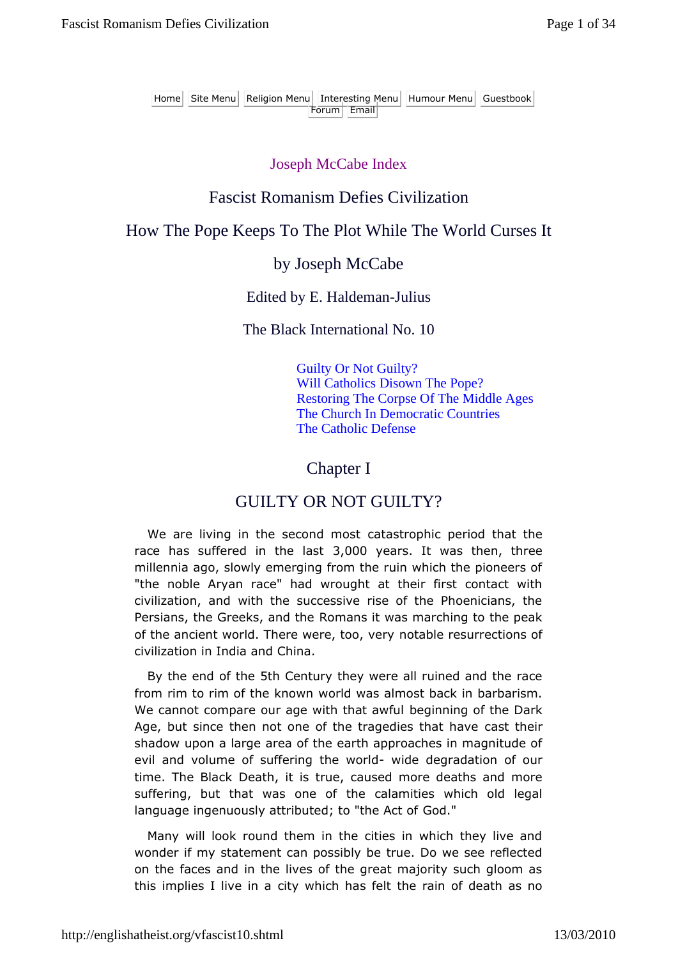Home Site Menu Religion Menu Interesting Menu Humour Menu Guestbook Forum Email

#### Joseph McCabe Index

### Fascist Romanism Defies Civilization

#### How The Pope Keeps To The Plot While The World Curses It

#### by Joseph McCabe

#### Edited by E. Haldeman-Julius

#### The Black International No. 10

Guilty Or Not Guilty? Will Catholics Disown The Pope? Restoring The Corpse Of The Middle Ages The Church In Democratic Countries The Catholic Defense

### Chapter I

### GUILTY OR NOT GUILTY?

We are living in the second most catastrophic period that the race has suffered in the last 3,000 years. It was then, three millennia ago, slowly emerging from the ruin which the pioneers of "the noble Aryan race" had wrought at their first contact with civilization, and with the successive rise of the Phoenicians, the Persians, the Greeks, and the Romans it was marching to the peak of the ancient world. There were, too, very notable resurrections of civilization in India and China.

By the end of the 5th Century they were all ruined and the race from rim to rim of the known world was almost back in barbarism. We cannot compare our age with that awful beginning of the Dark Age, but since then not one of the tragedies that have cast their shadow upon a large area of the earth approaches in magnitude of evil and volume of suffering the world- wide degradation of our time. The Black Death, it is true, caused more deaths and more suffering, but that was one of the calamities which old legal language ingenuously attributed; to "the Act of God."

Many will look round them in the cities in which they live and wonder if my statement can possibly be true. Do we see reflected on the faces and in the lives of the great majority such gloom as this implies I live in a city which has felt the rain of death as no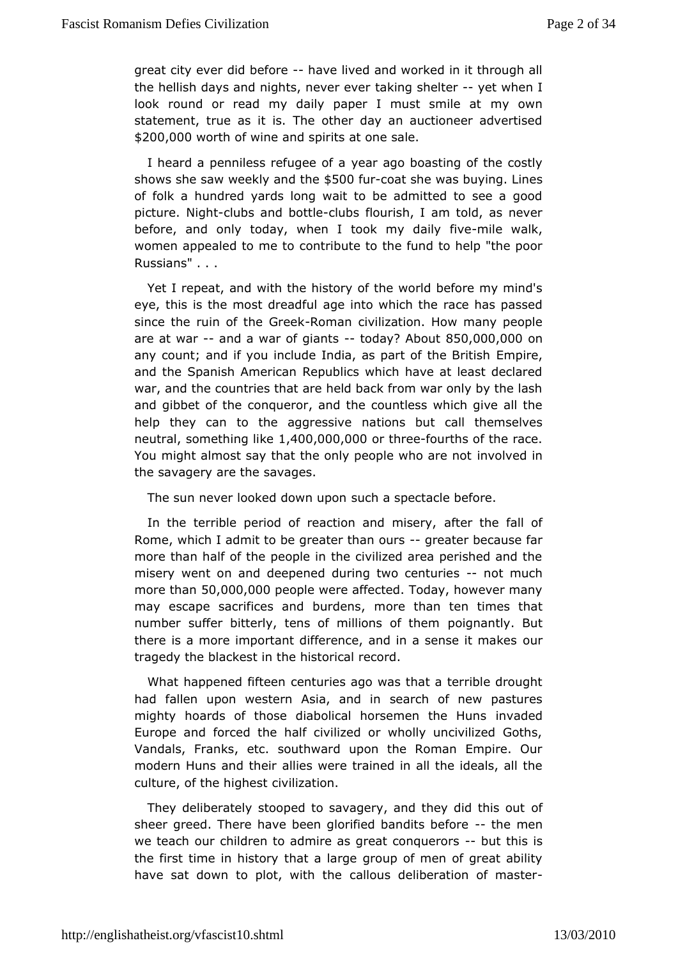great city ever did-bleagred and worked in it through all the hellish days and nights, tracking shelt ever when I look round or read my daily paper I mmongt oswmnile at statement, true as it is. The other day an auctioneer adver \$200,000worth of wine and spirits at one sale.

I heard a penniless refuygeeer ang a boasting of the costly shows she saw weekly \$650 d0 furred at sheeas buying. Lines of folk a hundred vards long wait to be admitted to see a picture. Night bs and bottlubs flourish, I am told, as never before, and ly today, when I took my -chailey walks, women appealed to anonetro bute to the fund to help "the poor Russians" . . .

Yet I repeat, wand the history of the world before my mind's eye, this is the most doead intud which the race has passed since the ruin of the RGmanckvilization. How many people are at warand a war of giandday?  $Ab@50,000,0@0$ any count; and if you include India, as partmpirehe British and the Spanish American Republics which have at least dec war, and the countries that are held back from war only by the  $\mathbb{I}_i$ and gibbet of colmequeror, and the countless which give all the help they can to the aggnets sinse but call themselves neutral , something like 1,400,000,000 orthree-fourths of the race. You might almost say that the only peopilne woll words are not the savagery are the savages.

The sun never looked down the pospectacle before.

In the terrible period of reaction aafted motion seriva, II of Rome, which I admit to be greater gthe sent excubse cataste more than half of the people in the civilized area perished a miserwent on and deepened during two- not tonues more th $\delta$ 0,000,000 ple were affected. Today, however many may escape sacrifices and mbourred etrhsa, n ten times that number suffer bitterly, tens of millipoonisgnament thilyem But there is a more important difference, and in ausense it make tragedy the blackest in the historical record.

What happened fide a turies ago was that a terrible drought had fallen upon western Asiaeaand of new pastures mighty hoards of those diabolical horsemen adtende Huns Europe and forced the half civilized or wholly uncivilized ( Vandals, Franks, etc. southward upon the Roman Empire. modern Huns and at the is were trained in all the ideals, all the culture, of the hica hid station.

They deliberately stooped to savagery, and bifey did this o sheer greed. There have been glorified -bahnedimise the fore we teach ochildren to admire as great cobquehossis the first time in historay large group of men of great ability have sat down to plot, weath thoutse deliberation of master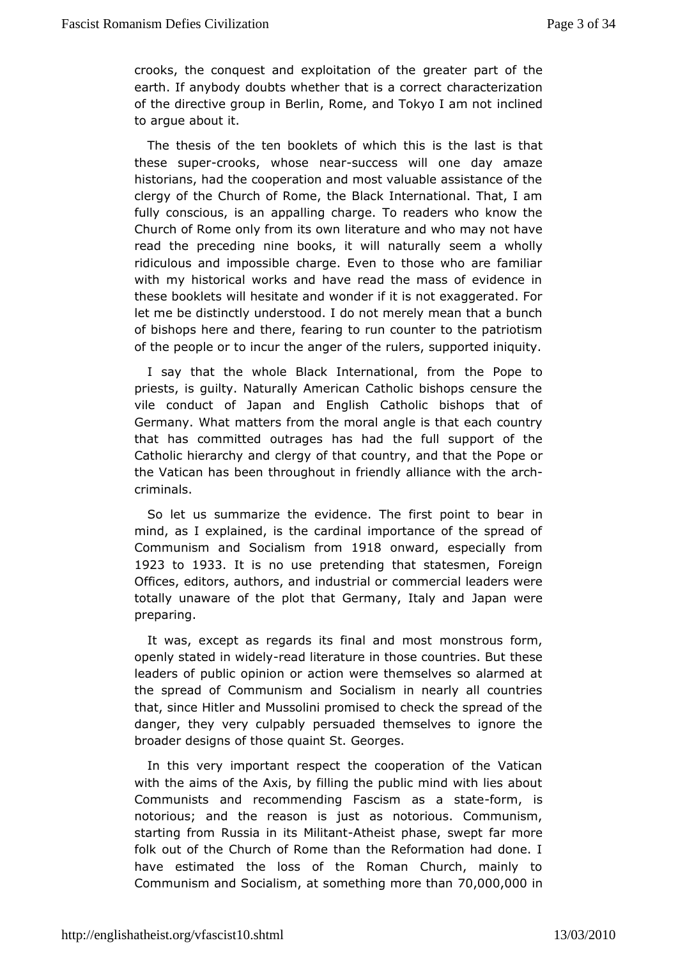crooks, the conquest and exploitation anterpriant of the earth. If any body doubts whether thaothias raactocornizead ton of the directive group in Berlin, Rome, and n E biknyeed I am not to argue about it.

The thesis of the ten booklets of swithing hat shis that these supcerpoks, whose-spuckaress will one day amaze historians, had the cooperation and most valuable assistance clergy  $\mathsf{b}$  ffe Church of Rome, the Black International. That, I am fully conscious, aipsp and ing charge. To readers who know the Church of Rome only from it id sad wrre and who may not have read the preceding nine books, it wseldem aaturwahloly ly ridiculous and impossible charge. Even to those who are family with my historical works and have read the mass of evidenc these book weits hesitate and wonder if it is not exaggerated. F let me be distiun red by stood. I do not merely mean that a bunch of bishops here and thereo freuanrion counter to the patriotism of the people or to incur the angeers of subported iniquity.

I say that the whole Black Internathoen aPP opferomo priests, is quilty. Naturally American Catholic bishops censur vile conduct of Japan and English Catholic bishops that Germany. What matternsthe moral angle is that each country that has committed outrages thas full adsupport of the Catholic hierarchy and clergy of that cotun etra Pyopeen dirthat the Vatican has been throughout in friendly aarldhance with the criminals.

So let us summarize the evidence. The firsit point to bea mind, as I explained, is the cardinal importance of the spre Communismand Socialism first the onward especially from 1923 to 1933 It is no upsnee tending that statesmen, Foreign Offices, editors, authors, and **codumserical aloreaders** were totally unaware of the plot that Germanay pahtawher and preparing.

It was, except as regards its finanion and monstorm, openly stated in -weddelyiterature in those countherises. But leaders of public opinion or action were themselves so alarm thespread of Communism and Socialism in nearly all countr that, since HitleMuasdlini promised to check the spread of the danger, they very cuplop as bulgaded themselves to ignore the broader designs of those  $G$  we airm the  $S$ t.

In this very important respect the cooperation of the Vat with the aims of the Axis, by filling the public mind with lies Communistes nd recommending Fascism as form, stieste notorious; and the reasonass noutsptrious. Communism, starting from Russia in it& thMeills taphass weept far more folk out of the Church of Rome than the Reformation had do have estimated the loss of the Roman Church, mainly Communism and Sociaalissommething more 70h a00,000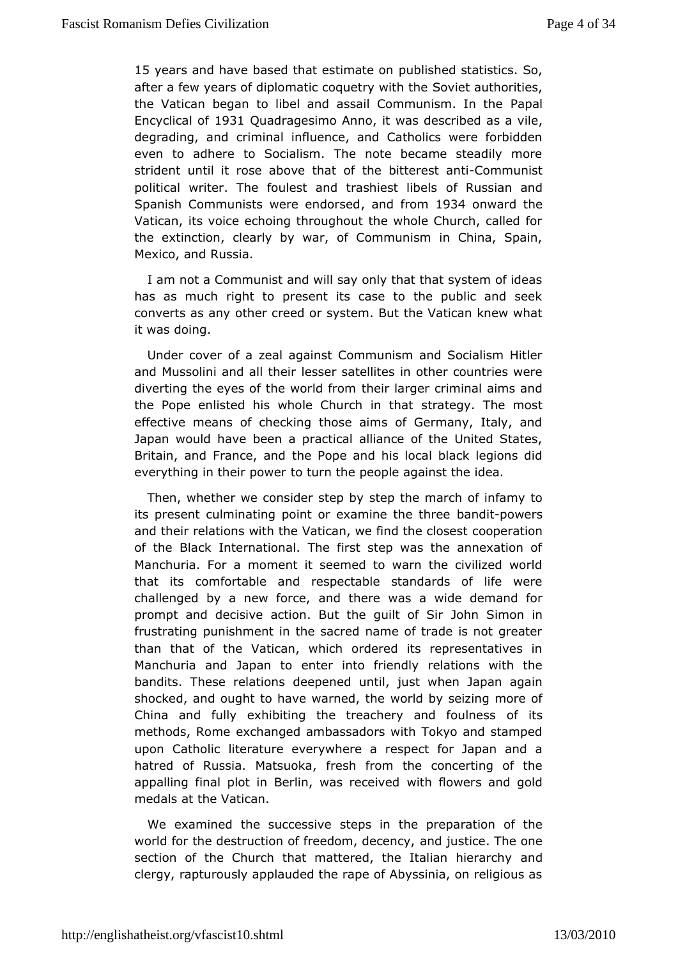15 years and have based that estimat bestractistics. So, after a few years of diplomatic  $\cos \theta$  which the eities, the Vatican began to libel and assail Commampasm. In the Encyclical 9031 Quadragesimo Annwas described as a vile degrading, and criminal influence, and Catholics were forb even to adheore Socialism. The note became steadily more strident until it rose abovtehethbaittterfest-Caonntimunist political writer. The foulest and trashing and belagned Spanish Communists were eand the mode of 34 onward the Vatican, its voice echoing throughout the whole Church, call theextinction, clearly by war, of Communism in China, Spa Mexico, aRnudssia.

I am not a Communist and will say only that that system of i has as much right to present its case to the public and see converts as cat mer creed or system. But the Vatican knew what it was doing.

Under covoefra zeal against Communism and Socialism Hitler and Mussolini and absteerisatellites in other countries were diverting the eyes of the woodelich flagmer criminal aims and the Pope enlisted his whole Chustar at enqythathe most effective means of checking those aims of Germany, Italy, Japan would have been a practical alliance of the United S Britain, and The Pope and his local black legions of everything in theirt**o** otwen the people against the idea.

Then, whether we considestspephbymarch of infamy to its present culminating point or exambaed the where e and their relations with the Vatican, we cfood etrhaetionosest of the Black International. The first step was the annexation Manchuria. For a moment it seemed to warn the civilized w that itsomfortable and respectable standards of life wer challenged by a new anodrotehere was a wide demand for prompt and decisive action. But the Joghunit Sion ho Sairin frustrating punishment in the sacred name of trade is not gr than that of the Vatican, which ordered its representative Manchuria almapan to enter into friendly relations with the bandits. These reldade is powers detail, just when Japan again shocked, and ought to have www.orredd, by heeizing more of China and fully exhibiting the treachery of industoulness methods, Rome exchanged ambassadors with Tokyo and stam upon Catholiterature everywhere a respect for Japan and a hatred of Russia. Mafses kafrom the concerting of the appalling final plot in Berlin, wwaishrék $\infty$ wiesd and gold medals at the Vatican.

We examined the succset a pister in the preparation of the world for the destruction of freedamd duestedey, The one section of the Church that mattered, the Itan idan hierarchy clergy, rapturously applauded the rape of Abyssinia, on religi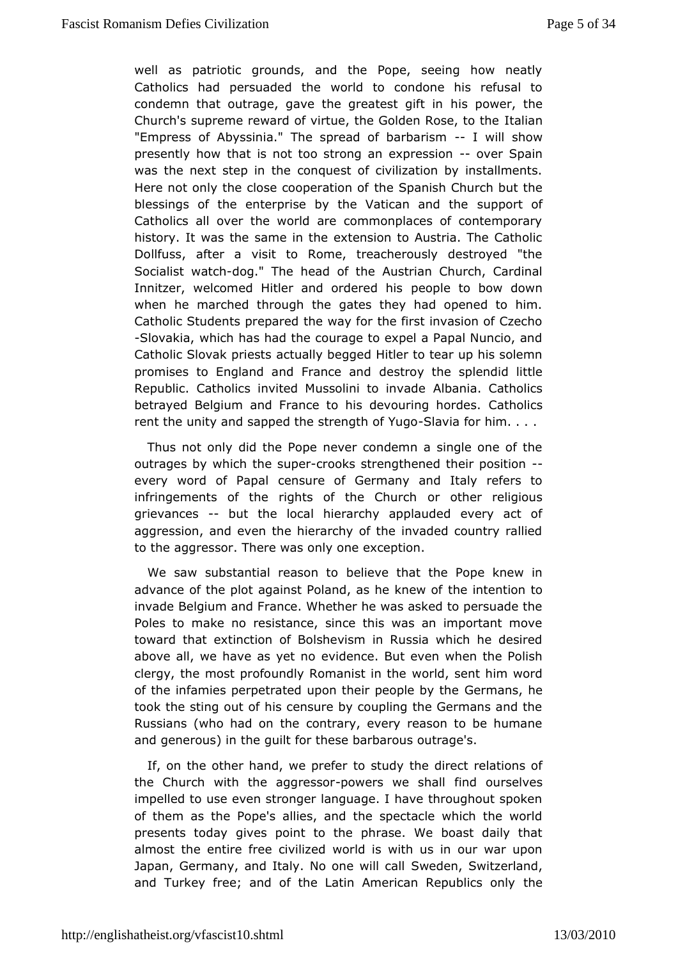well apatriotic grounds, and the Pope, seeing how neatl Catholics had persuadwed ritheto condone his refusal to condemn that outrage, gave the greats spoow et, inhe Church's supreme reward of virtue, the Goldten Rose, to the "Empress of Abyssinia." The spread -ofl bwaitbashisomw presenthyow that is not too strong an  $expace$  Spain was the next step contouse st of civilization by installments. Here not only the close coopleea Sippanics in Church but the blessings of the enterprise by the Vaticapporatnobfthe Catholics all over the world are commonplaces of contempc history. It was the same in the extension to Austria. The Ca Dollfussa, fter a visit to Rome, treacherously destroyed "th Socialist w-atocch." The ead of the Austrian Church, Cardinal Innitzer, welcomed Hitler and opredepreed thois bow down when he marched through the gates they had opened to hi Catholic Students prepared the way for the first invasion of C -Slovakiwhich has had the courage to expel a Papal Nuncio, a Catholic Slovak parcieusats by begged Hitler to tear up his solemn promises to England and France and and the splendid little Republic. Catholics invited MussolAhbatroiain Cande alics betrayed Belgium and France to his dev $\Omega$ uantimicalions rides. rent the unity and sapped the stre  $\delta$  bath of for  $\delta$  om  $\delta$ .

Thus not only did the Pope never condemn a single one of outrages which the sucreoks strengthened their-position every word of Pœepnaslure of Germany and Italy refers to infringements of the rights of the Chuerch eligious grievances but the local hierarchy applauded every act of aggression, and even the hierarchy of the invaded country r to thaggressor. There was only one exception.

We saw substantial reason to that the Pope knew in advance of the plot against Poland, the hientleme in molto invade Belgium and France. Whether he was asked to persuad Poles to make no resistance, since this was an important r toward theat tinction of Bolshevism in Russia which he desire above all, we have as ewiedtence. But even when the Polish clergy, the most profoundly Romworss d, inset the him word of the infamies perpetrated upon their Goeerompale sbyhehe took the sting out of his censure by coupling the Germans an Russians (who had on the contrary, every reason to be hum and generoushenguilt for these barbarous outrage's.

If, on the other hand, wheo psribuildeave the direct relations of the Church with the aggorwerssor we shand ourselves impelled to use even stronger language. I have throughout sp of them as the Pope's allies, and the spectacle which the presents todgawes point to the phrase. We boast daily that almost the entire free woorldzeed with us in our war upon Japan, Germany, and Italy. No convee whe in convittand, and Turkey free; and of the Latin Americanthee publics only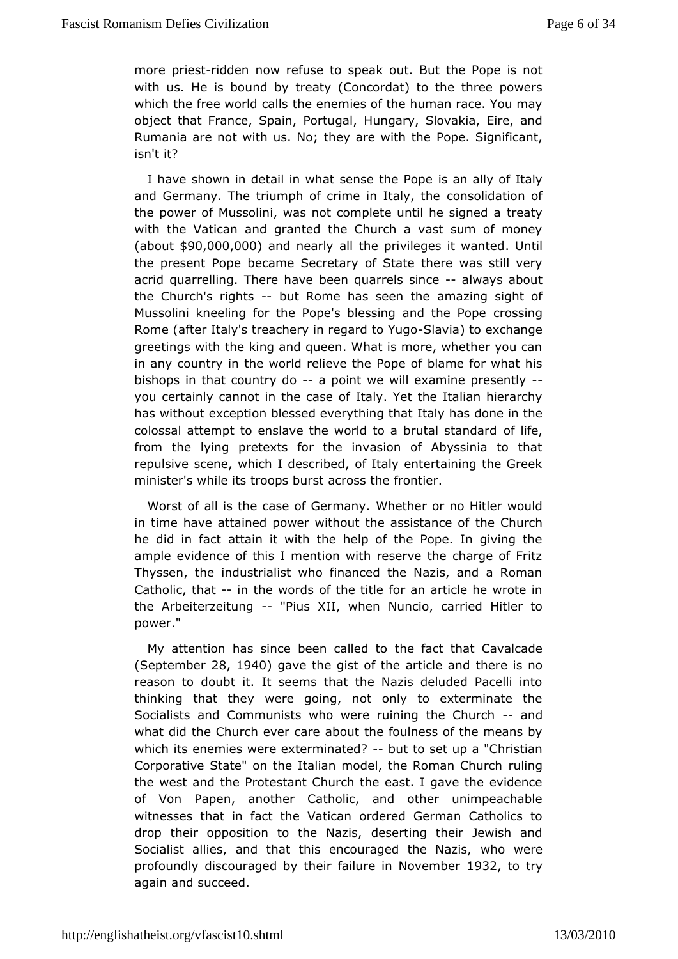more priers den now refuse to speak out. But the Pope is no with us. He bound by treaty (Concordat) to the three powers which the free world exaction ies of the human race. You may object that France, Spain, HRungtary al. Slovakia, Eire, and Rumania are not with us. No; they  $\theta$  are ewith  $\theta$  ident, isn't it?

I have shown in detail in what senseathellPyope Italy and Germany. The triumph of crime donstealliydation of the power of Mussolini, was not complete utmed the signed a with the Vatican and granted the Church a vast sum of mo  $(about $90,000,000$  and nearly all the privileges Uintiwanted the present Pocepceame Secretary of State there was still very acrid quarrelling. The beehage arrels simatways about the Church's rightust Rome has seeamtahe and sight of Mussolini kneeling for the Pope's blessing a morpo and the Pope Rome (after Italy's treachery in re $\mathcal{S}_i$  lændiato to ugo change greetings with the king and queen. What is more, whether you in any country the world relieve the Pope of blame for what hi bishops in that country pobdint we will examine presently you certainly cannot in the ad ase Y est the Italian hierarchy has without exception blessed evetray thim anstudent in the colossal attempt to enslave the world to aobruital standard from the lying pretexts for the invasion of Abyssinia to repulsiveene, which I described, of Italy entertaining the Gre minister's whit eo ots burst across the frontier.

Worst of all is the case of WGheerthen your no Hitler would in time have attained power without the theess abuarche of he did in fact attain it with the help of the Pope. In giving ample evidence of this I mention with reserve the charge of Thyssen, time ustrialist who financed the Nazis, and a Roma Catholic, than the words the title for an article he wrote in the Arbeiterzeitun Polus XII, whem cio, carried Hitler to power."

My attention has since beenthealfedt to hat Cavalcade  $(SeptembBB, 1940)$  gave the gist of the articelee airsd no reason to doubt it. It seems that the Nazis deluded Pacelli thinking that they were going, not only to exterminate t Socialists 6 moth munists who were ruining the a Conurch what did the Church evelow the foulness of the means by which its enemies were exter-mbiuntatolesdert up a "Christian Corporative State" on the Italian model, the uRiom an Church the west and the Protestant Church the east. I gave the evic of VonPapen, another Catholic, and other unimpeachable witnesses that in falcatitcheen ordered German Catholics to drop their opposition to the esNetating their Jewish and Socialist allies, and that this encourage that the renazis, profoundly discouraged by their failure 9 302 Noo weynber againnd succeed.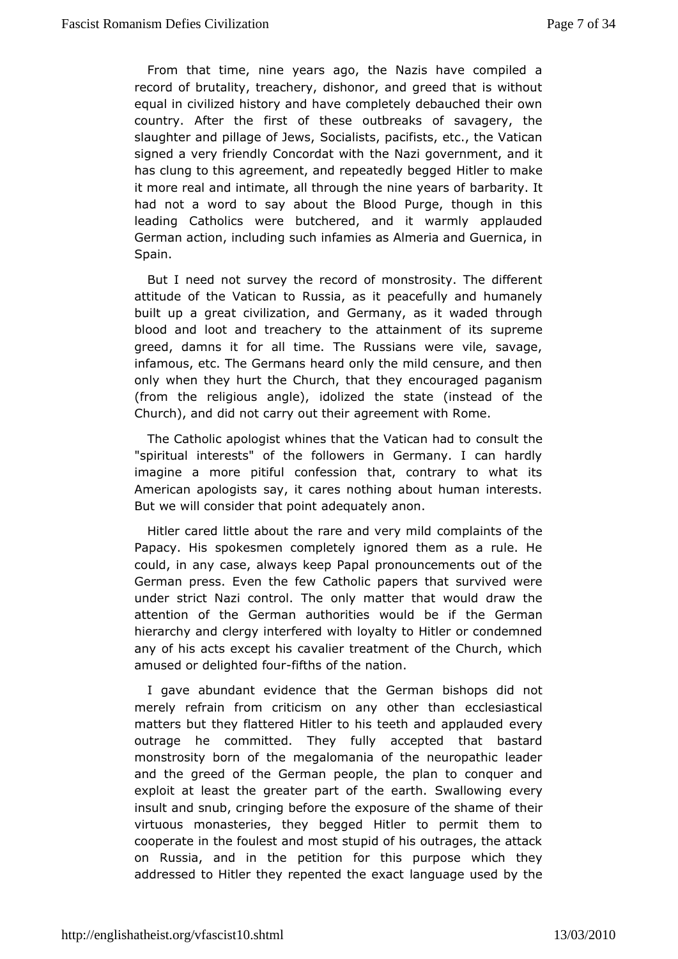From that time, nine years ago, the Nazis have compiled record of brutality, treachery, dishonor, and greed that is w equal cnvilized history and have completely debauched their own country. After finset of these outbreaks of savagery, the slaughter and pillage **S6 claws**ts, pacifists, etc., the Vatican signed a very friendly Conctohred and awriting overnment, and it has clung to this agreement, and repelditelely to engeled it more real and intimate, all through the earn him be alles of had not a word to say about the Blood Purge, though in leading Catholics were butchered, and it warmly applaue German action, luding such infamies as Almeria and Guernica, Spain.

But I need sotvey the record of monstrosity. The different attitude of the Vatireansta, as it peacefully and humanely built up a great civilizadenmannyd as it waded through blood and loot and treachery to the attsain unperements greed, damns it for all time. The Russians were vile, sav infamous, etc. The Germans heard only the mild censure, and only when the yt the Church, that they encouraged paganism (from the religious  $\vec{a} \, \vec{a} \, \vec{a} \, \vec{b}$  and  $\vec{b}$  and  $\vec{c}$  and  $\vec{c}$  instead of the Church), and did not carry a pudet the nit with Rome.

The Catholic apologist whines that the constitution the dito "spiritual interests" of the followers in Germany. I can ha imagine a more pitiful confession that, contrary to what American apologasytsit cares nothing about human interests. But we will consider than alte point bly anon.

Hitler cared little about the rare acnoch py learlyn trosibed the Papacy. His spokesmen completely ignored them as a rule. could, in any case, always keep Papal pronouncements out o German pressen the few Catholic papers that survived were under strict Nazi contronlly Trhatter that would draw the attention of the German authorities the ulcompanit hierarchy and clergy interfered with loyalty to Hitler or conde any of his acts except his cavalier treatment of the Church, amused delighted flaturhs of the nation.

I gave abundant evidence Gheatmahebishops did not merely refrain from criticism on any ecodineesriatshtaonal matters but they flattered Hitler to his teetavanyd applauded outrage he committed. They fully accepted that basta monstrosity bortheofmegalomania of the neuropathic leader and the greed of the Germanthpeppleal to conquer and exploit at least the greater part of with the earthevery insult and snub, cringing before the exposurehefrthe shame of virtuous monasteries, they begged Hitler to permit them cooperate the foulest and most stupid of his outrages, the atta on Russia, and impetthiteion for this purpose which they addressed to Hitler they repented ant the exacted by the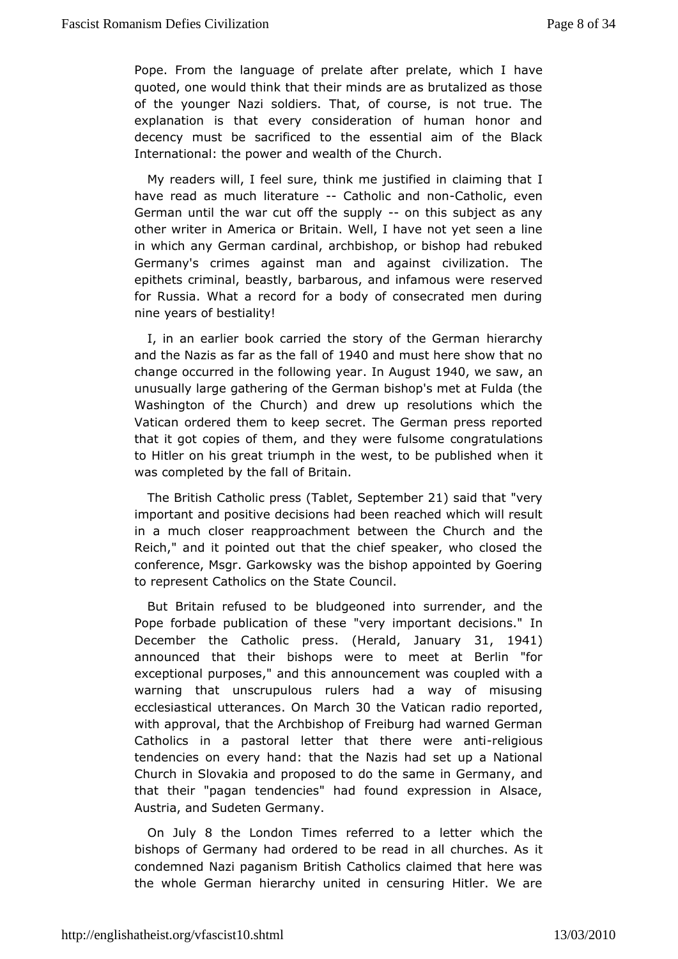Pope. From the language of prelate after phreevlate, which I quoted, one would think that their minds are as brutalized as of theyounger Nazi soldiers. That, of course, is not true. The explanation is etheaty consideration of human honor and decency must be sacrificed ssenthal aim of the Black International: the power and wechluncut the

My readers will, I feel sure, think me justifield in claiming have read as much liter@tautholic and-Chaotholic, even German unthile war cut off the -support whis subject as any other writer in AmeBirdaabn. Well, I have not yet seen a line in which any German canndhibashop, or bishop had rebuked Germany's crimes against man anodividiograaitrish. The epithets criminal, beastly, barbarous, and eisne avreadus were for Russia. What a record for a body of consecrated men  $d_{\perp}$ nineyears of bestiality!

I, in an earlier book carried the story boifethe Goverman and the Nazis as far as **1964 Ofzand domi**ust here show that no change occurred in the followning yues  $24.9$  we saw an unusuallarge gathering of the German bishop's met at Fulda (t Washington of Cthuerch) and drew up resolutions which the Vatican ordered them to keephese Gereman press reported that it got copies of them, and they owner full stations to Hitler on his great triumph in the west, to bie published  $w$ was completed by the fall of Britain.

The British Catholi( $\sigma$  and  $\epsilon$  be  $\epsilon$  and  $\epsilon$  and that  $\epsilon$  ry important and positive decisiomearched beven rich will result in a much closer reapproachment between the Church and Reich," and it pointed out that the chief speaker, who close conference, Msgr. Garkowsky was the bishop appointed by Go to represetatholics on the State Council.

But Britain refused to be bludgevormed derto and the Pope forbade publication of these "very impolmtant decisions December the Catholic  $\#$  besa<sup>\$</sup>d January31, 1941 announced that the throps were to meet at Berlin "for exceptional purposes," and this an macsureo empleend twith a warning that unscrupulous rulers had a way of misusi ecclesiastical utte@andMeasrc3h0 the Vatican radio reported withapproval, that the Archbishop of Freiburg had warned Ger Catholics inpasstoral letter that there weelriggioaunsti tendencies on every hander than this had set up a National Church in Slovakia and proposed to ind oG the mas may meand that their "pagan tendencies" had found expression in Als Austria, and Sudeten Germany.

On Jul& the London Times referrleed to a bich the bishops of Germany had ordered to be read initall churches. condemned Nazi paganism British Catholics claimed that here the wholeerman hierarchy united in censuring Hitler. We ar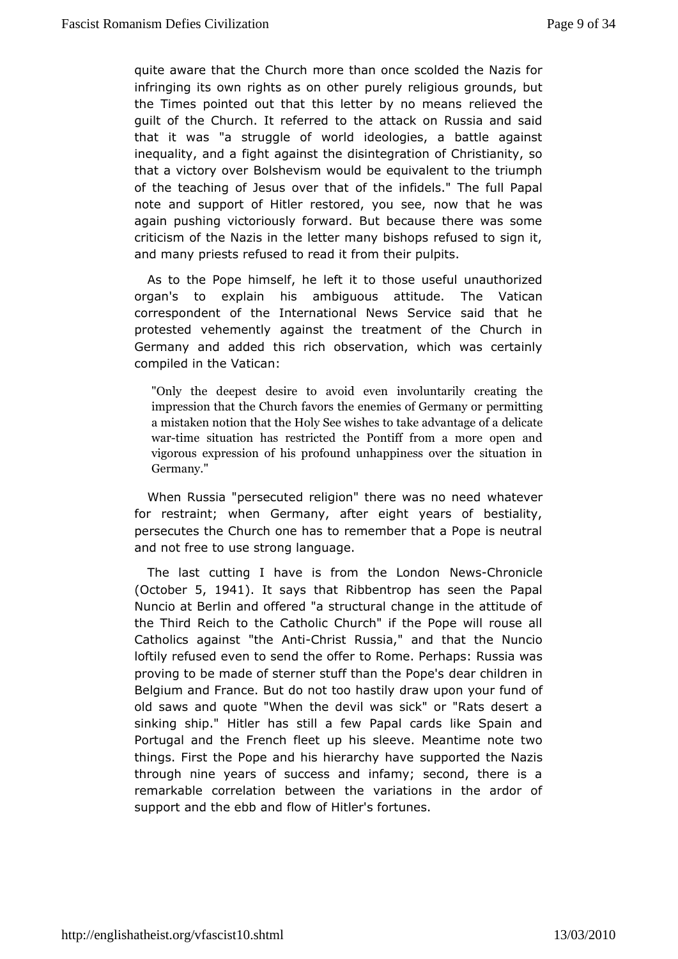quite aware that the roCot must man once scolded the Nazis for infringing its own rights aspuorrely the rigious grounds, but the Times pointed out that this letter relyien we dme has a quilt of the Church. It referred to the attack on Russia and that it was "a struggle of world ideologies, a battle aga inequality, a fight against the disintegration of Christianity, s that a victory Boolss the vism would be equivalent to the triumph of the teaching of Jesus own that hant idels." The full Papal note and support of Hitler restorendowy oblast ehee, was again pushing victoriously forward. But because there was : criticism of the Nazis in the letter many bishops refused to s and marpyriests refused to read it from their pulpits.

As to the Pope himsleelfft, inteto those useful unauthorized organ's to explain his ambiguous Thættit Wadteican correspondent of the International News Service said that protested vehemently against the treatment of the Church Germany and adtomest rich observation, which was certainly compiled in Vtahteican:

"Only the deepest desire to avoid careentinig vollentarily impression that the Church favors the opreemitting f Germany a mistaken notion that the Holy See wishes ito attake advanta wattime situation has restricted the Pontiff from a more vigorous expression of his profound unhappiness over the Germany."

When Russia "persecuted religion" there heas need for restraint; when Germany, after eight years of bestial persecutes the Church one has to remember that a Pope is ne and not free steo strong language.

The last cutting I have is from thew Cohroincle  $(October, 194)$ . It says that Ribbentrop has seen the Papal Nuncio at Berlin and offered "a structural change in the attit the Thirdeich to the Catholic Church" if the Pope will rouse Catholics against Anticularist Russia," and that the Nuncio loftily refused even to sendotRemontePerhaps: Russia was proving to be made of sterner stuff tholoenarthcom iPhobrpeen's in Belgium and France. But do not too hastily drawf upon your fu old saws and quote "When the devil was sick" or "Rats dessinking shimpit ler has still a few Papal cards like Spain an Portugal and the French filies the eve. Meantime note two things. First the Pope and his hierupporthy teletative Nazis through nine years of success and infamy; second, there remarkable correlation between the variations in the ardo support and ethbe and flow of Hitler's fortunes.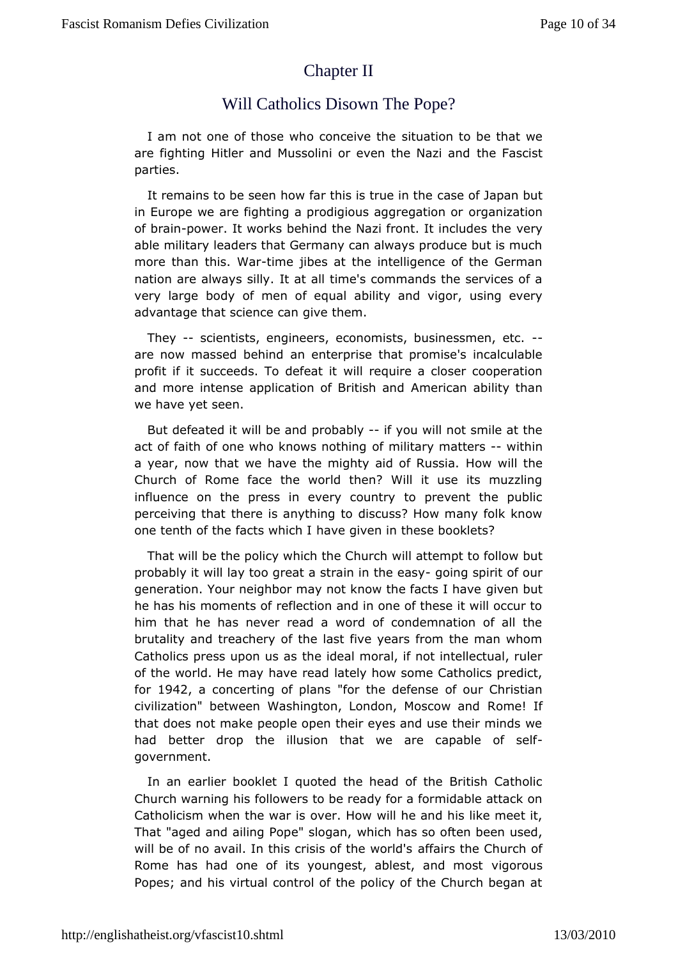# [Chapter II](http://englishatheist.org/vfascist10.shtmlChapter)

## Will Catholics Disown The Pope?

I am not one of those who consideulay to other one that we are fighting Hitler and Mussolini or evethathFeasNcainsit and parties.

It remains to be seen how far this daste une imaplae but in Europe we are fighting a prodigious carganeigation or of bra-pnower. It works behind the Nazi front. Veriyncludes the able military leaders that Germany can always produce but is more that his. Waime jibes at the intelligence of the German nation are always tsattly all time's commands the services of a very large body of men abitiqual and vigor, using every advantage that science can give them.

They-scientists, engineers, economists, businessmen, etc. are now massed bahined terprise that promise's incalculable profit if it succeeds. Towdelferequitre a closer cooperation and more intense application of ABmetriischanamadbility than we have yet seen.

But defeated it willpbrebaarbdy if you will not smile at the act of faith of one who knows mothitarry mattewristhin a year, now that we have the mighty ald wo will us aimed. Church of Rome face the world then? Will it use its muzz influence on the press in every country to prevent the pu perceiving thate is anything to discuss? How many folk know one tenth of the factsh whechiven in these booklets?

That will be the policy which will a Cilien month to follow but probably it will lay too great a stragroimgth pireids soy four generation. Your neighbor may not know tohievefmachts til have he has his moments of reflection and in one of these it will  $\sigma$ him that he has never read a word of condemnation of all brutality ane achery of the last five years from the man whom Catholics press upotheusideesal moral, if not intellectual, ruler of the world. He may havadely andow some Catholics predict, for1942a concerting of "plans hetense of our Christian civilization" between Washington, LondomRomMone!s clofw and that does not make people open their eyes and use their mind had better drop the illusion that we are capable of sel government.

In anearlier booklet I quoted the head of the British Catho Church warning ohlics wers to be ready for a formidable attack on Catholicism when the wear.  $i$ t ow will he and his like meet it, That "aged and ailing Popew'hiscloghaans, so often been used, will be of no avail. In this crisis aofffathes whoel C'hsurch of Rome has had one of its youngest, ablexing, most most Popes; and his virtual control of the policy of the Church be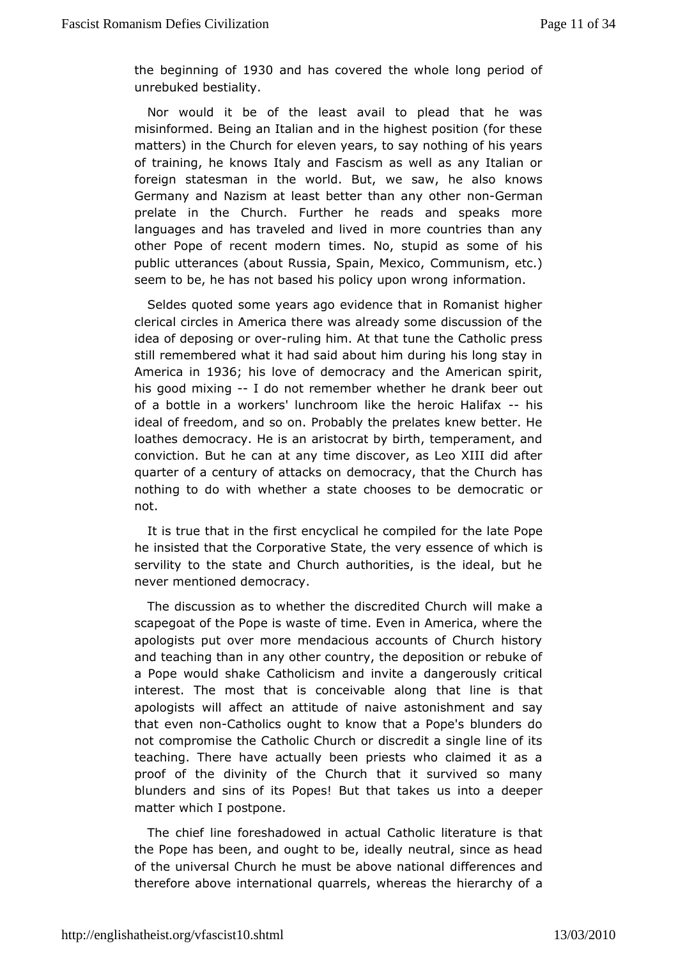thebeginning 1@B0 and has covered the whole long period of unrebuk bestiality.

Nor would it be of the least avail to plead that he w misinformed. Being an Italian and in the highest position (for matters) the Church for eleven years, to say nothing of his years. of training, he klmta hows and Fascism as well as any Italian or foreign statesman in the wowled.saBwut, he also knows Germany and Nazism at least better the annon-Geenwing there prelate in the Church. Further he reads and speaks mo languages anad traveled and lived in more countries than any other Pope of recent momes.nNo, stupid as some of his public utterances (about Russia, S $\emptyset$ amm UM eximc, oetc.) seem to be, he has not based his policon four providing nong

Seldes quoted some years ago evidence that in Romanist hi clerical circles in America there was already some discussion idea odfeposing or our bime him. At that tune the Catholic press still remembewheadt it had said about him during his long stay in America 1036 his love doefmocracy and the American spirit, his good mixingdo not remember whetheank beer out of a bottle in a workers' lunchroom like th<del>e</del> thissroic Halifax ideal of freedom, and so on. Probably the prelates knew bette loathedse mocracy. He is an aristocrat by birth, temperament, and conviction. But hæt caany time discover, as Leo XIII did after quarter of a century of adteams bsrany, that the Church has nothing to do with whether a state choos sato boer not.

It is true that in the first encyclical hee cloam op iPeopefor he insisted that the Corporative State, the very sessence of which servility to the state and Church authorities, is the ideal, t nevermentioned democracy.

The discussion as to whether the discwedlited Kehaurch scapegoat of the Pope is waste of time. Even in America, whe apologists put over more mendacious accounts of Church hi and teaching it many other country, the deposition or rebuke of a Pope would shake Catahodicins mite a dangerously critical interest. The most that is conceivhaabule line bonig that apologists will affect an attitude of naive assagnishment and that even  $\tau$ Coantholics ought to know that a Pope's blunders do notcompromise the Catholic Church or discredit a single line teaching. The e actually been priests who claimed it as a proof of the divinity Colfiutble that it survived so many blunders and sins of its Popes! Buts that takeseper matter which I postpone.

The chief line foreshadocoweed in actholic literature is that the Pope has been, and ought to bettral, eally ce as head of the universal Church he must be addiofweerenractessnahd therefore above international quarrels, whereaa the hierarchy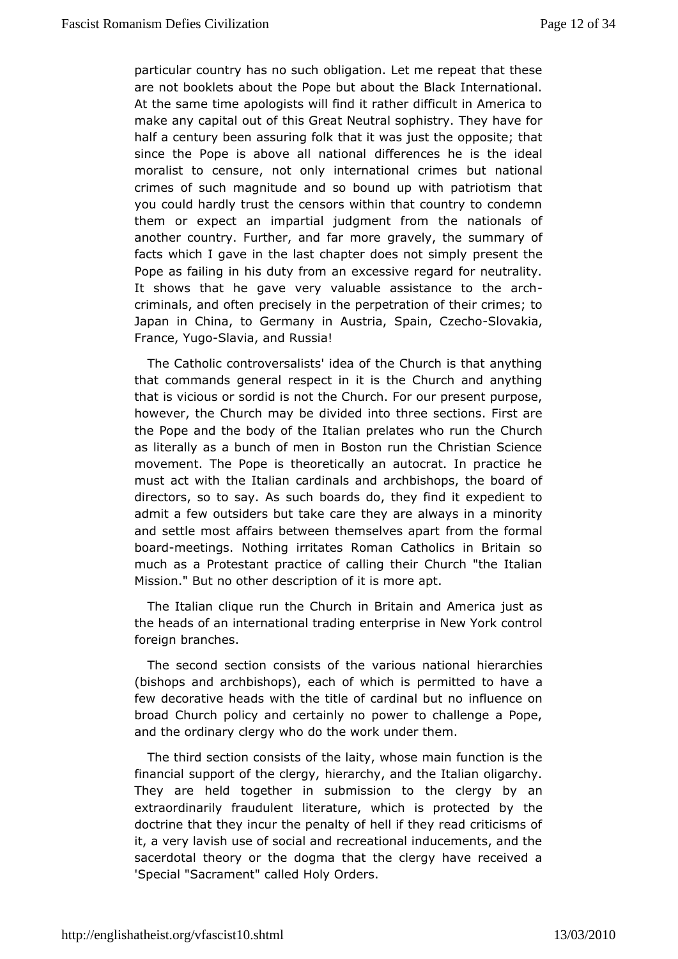particular country has no such obligation. Let me repeat that are not ooklets about the Pope but about the Black Internation At the same tapme agists will find it rather difficult in America make any capital thus  $G$  reat Neutral sophistry. They have for half a century been assuthiantgit ow las just the opposite; that since the Pope is above aldlififeation calls he is the ideal moralist to censure, not only internabiothanlatoinmades crimes of such magnitude and so bound up with patriotism youcould hardly trust the censors within that country to cond them or expectimamartial judgment from the nationals of another country. Further, and grifar vehy or the summary of facts which I gave in the last chapter oboreess emott the imply Pope as failing in his duty from an excessive regard for neut It shows that he gave very valuable assistance to the ar criminals, and pontecinsely in the perpetration of their crimes; to Japan in China, to Germanstyrian Spain, ESzloowhackia, France, Y-Sdavia, and Russia!

TheCatholic controversalists' idea of the Church is that any that commangdesneral respect in it is the Church and anything that is vicious or smodditch es Church. For our present purpose, however, the Church may be dthirde ed siend to ions. First are the Pope and the body of the Italian preheatesh who cun as literally as a bunch of men in Boston run the Christian S movement. The Pope is theoretically an autocrat. In practic must act wihhe Italian cardinals and archbishops, the board of directors, so to say ch Aboards do, they find it expedient to admit a few outsiders but the the angealways in a minority and settle most affairs between themscenhvelseapcarmaal boardneetings. Nothing irritates Roman Catholics in Britain much as a Protestant practice of calling their Church "the I Mission." Boutother description of it is more apt.

The Italian clique run then CBhrutracim and America just as the heads of an international tradiimg Neemvte Yprks control foreign branches.

The second section consisterious sheetional hierarchies (bishops and archbishops), each poefrmwihtied to have a few decorative heads with the title of chafriduien radeb on no  $b$ road Church policy and certainly no power to challenge a andthe ordinary clergy who do the work under them.

The third section coofnshisets aity, whose main function is the financial support of the icardargy, and the Italian oligarchy. They are held together in subminsesiochergoy by an extraordinarily fraudulent literature, which use protected by doctrine that they incur the penalty of hell if they read critic it,a very lavish use of social and recreational inducements, ar sacerdottahleory or the dogma that the clergy have received 'Special "SacramentHoclayII@dders.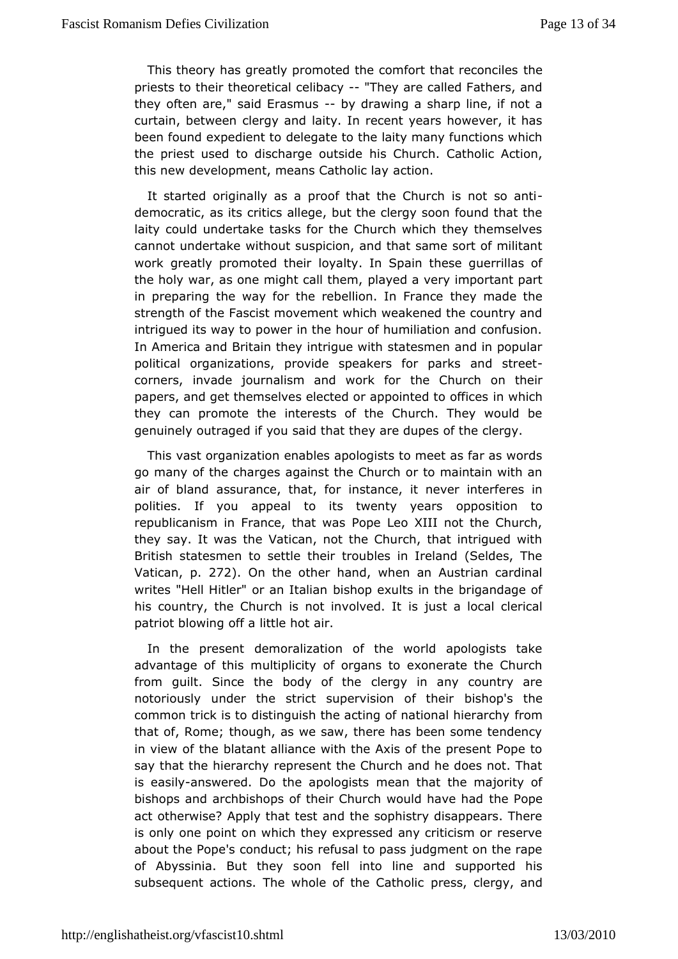This theory has greatly promoted the comfort the theory ile priests to their theoretical delibasy called Fathers, and theyoften are," said Erasbmustrawing a sharp line, if not a curtain, between av and laity. In recent years however, it has been found expedident te grate to the laity many functions which the priest used to dischargheiso Cthsudeh. Catholic Action, this new development, means Caxthonic lay

It started originally as a proof that the Church is not so democratic, as its critics allege, but the clergy soon found the lait could undertake tasks for the Church which they themsel cannot underwaik bout suspicion, and that same sort of militant work greatly promote do the bit low Spain these guerrillas of the holy war, as one might pelalyed deamyery important part in preparing the way for the rebellion hey matches strength of the Fascist movement which weakened the country intrigued its way to power in the hour of humiliation and conf In Ameriaad Britain they intrigue with statesmen and in popul political organizadions beekers for parks and street corners, invade journalism and the ord theor their papers, and get themselves elected or appionin the idchto offices they can promote the interests of the Church. They would genuined utraged if you said that they are dupes of the clergy.

This va $\sigma$  and  $\sigma$  and  $\sigma$  and  $\sigma$  are apologists to meet as far as words go many of the changuensst the Church or to maintain with an air of bland assurance, it meattancer, it never interferes in polities. If you appeal to its tweomptoyosyitaions to republicanism in France, that was Pope Leo XIII not the Ch they say. It was the Vatican, not the Church, that intrigued Britisstatesmen to settle their troubles in Ireland (Seldes, Vaticam. 272. Onthe other hand, when an Austrian cardinal writes "Hell Hitler" or abishtopian wilts in the brigandage of his country, the Church is not involvemed. Indical clerical patriot blowing off a little hot air.

In thepresent demoralization of the world apologists tak advantage of mhuilstiplicity of organs to exonerate the Church from guilt. Since the bodycloofgythen any country are notoriously under the strict supervistios no opfs their common trick is to distinguish the acting of mactimonal hierarchy that of, Rome; though, as we saw, there has been some tend in view tohie blatant alliance with the Axis of the present Pope say that the hierrærpcrheysent the Church and he does not. That is eas-id pswered. Do the apon the majority of bishops and archbishops of their Church whoeu Polopheave had act otherwise? Apply that test and the sophistry disappears. isonly one point on which they expressed any criticism or res about the Popeensuct; his refusal to pass judgment on the rape of Abyssinia. But the yels oom to line and supported his subsequent actions. The whole of ptheessC, a theology, and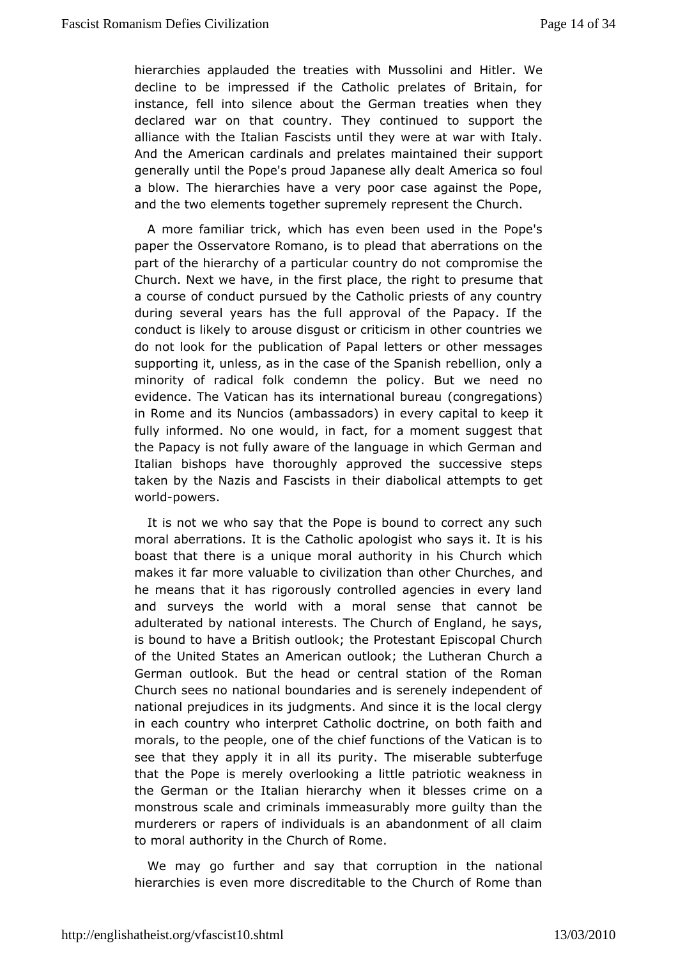hierarchies applauded the treaties with Muss Wolni and Hitle decline to be impressed if the Catholic prelates of Britair instanceell into silence about the German treaties when the declared war on ctohuantiry. They continued to support the alliance with the Italian Fashces ts use until the war with Italy. And the American cardinals and prelattehse inn asiunplapion retid generally until the Pope's proud Japanese alliyod balt America a blow. The hierarchies have a very poor case against the and the two ements to gether supremely represent the Church.

A more familiar which has even been used in the Pope's paper the Osservatore Romano, the atteabed ereadions on the part of the hierarchy of a particular comptroymd sentohte Church. Next we have, in the first place, the the otht to presume a course of conduct pursued by the Catholic priests of any  $c_{\perp}$ duringseveral years has the full approval of the Papacy. If conduct is likely outoe disgust or criticism in other countries we do not look fopublecation of Papal letters or other messages supporting it, unless, assien othe he Spanish rebellion, only a minority of radical folk condeminy. the ut we need no evidence. The Vatican has its internationment but means) in Rome and its Nuncios (ambassadors) in every capital to  $k<sub>e</sub>$ fully informed. No one would, in fact, for a moment suggest the Papaisynot fully aware of the language in which German a Italian bishops thao weughly approved the successive steps taken by the Nazis and Fahse instabiabolical attempts to get worldbowers.

It is not we who satyhethPadpe is bound to correct any such moral aberrations. It is the potation bidic who says it. It is his boast that there is a unique moral has under which makes it far more valuable to civilization thaandther Churche he means that it has rigorously controlled agencies in every and surveys the world with a moral sense that cannot be adulterated by naitribenrælsts. The Church of England, he says, is bound to have a Britishhoeu Plocotle; stant Episcopal Church of the United States an American Louttheo an Cheurch a German outlook. But the head or central station of the Ro Church sees no national boundaries and is serenely independ national ejudices in its judgments. And since it is the local cl in each counwthry interpret Catholic doctrine, on both faith and morals, to the peoplethenehoff functions of the Vatican is to see that they apply it imurally it  $\bar{s}$  he miserable subterfuge that the Pope is merely overlooks antgioaticit wheeakness in the German or the Italian hierarchy when ionblæsses crime monstrous scale and criminals immeasurably more guilty thar murdereps rapers of individuals is an abandonment of all cla to moral authorihye inhurch of Rome.

We may go further and say that corrupaitoon and the hierarchies is even more discreditable to the Church of Rome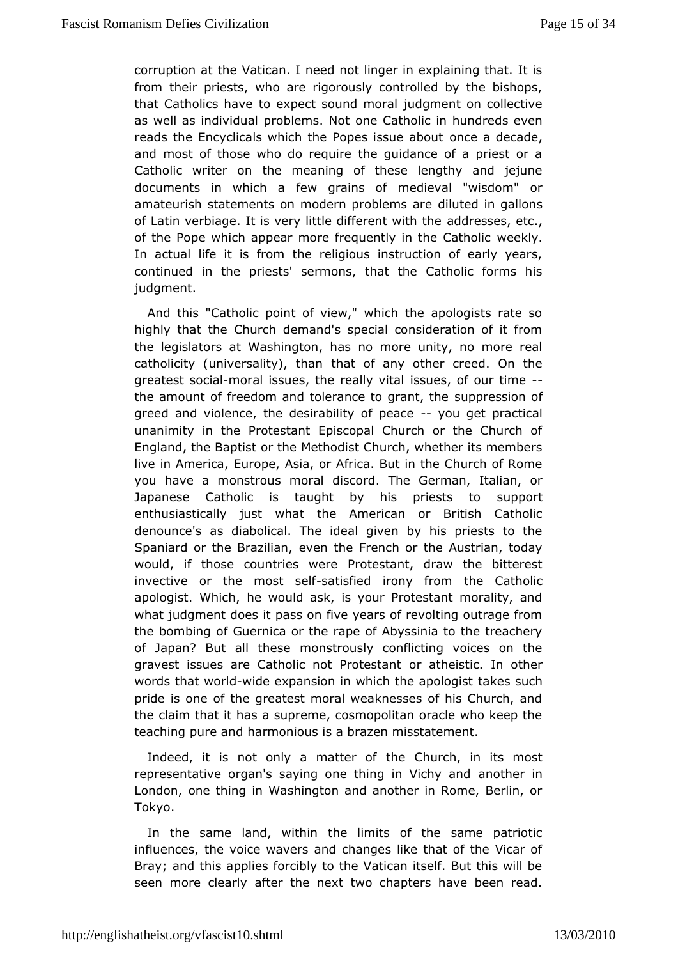corruption at the Vatican. I need not linger in explaining that from their priests, who are rigorously controlled by the bishthat Catholics tho expect sound moral judgment on collective as well as individual probolements Canthologic in hundreds even  $r$ eads the Encyclicals which the Popes  $\sin \theta$  and  $\sin \theta$  and and most of those who do require the guidance of a priest Catholic writer on the meaning of these lengthy and jeji documents in whidbwagrains of medieval "wisdom" or amateurish statements on modern polibulteend sinargeallons of Latin verbiage. It is very little difaddees sweisth ethce, of the Pope which appear more frequently wieekly. Catholic In actual life it is from the religious instruction of early continued in the priests' sermons, that the Catholic forms judgment.

And this "Catholic point of view," which the apologists  $ra +$ highly that the Church demand's special consideration of it the legislatodrsWashington, has no more unity, no more real catholicity (universalitthatthous any other creed. On the greatest somoioarlal issues, the reails pure is also four-time the amount of freedom and tolerance stop grass, joth es f greed and violence, the desirability oouf constant etical unanimity in the Protestant Episcopal Church or the Churc Englandhe Baptist or the Methodist Church, whether its member live in AmerEcuaope, Asia, or Africa. But in the Church of Rom you have a monstrous dinsocrand. The German, Italian, or Japanese Catholic is taught by his spopipests to enthusiastically just what the American or British Cath denounceas diabolical. The ideal given by his priests to the Spaniard or the Braezidinanthe French or the Austrian, today would, if those countries weerteant, draw the bitterest invective or the mo-sstatisselied irony finem Catholic apologist. Which, he would ask, is your Protestant morality what judgment does it pass on five years of revolting outrage the bombing Guernica or the rape of Abyssinia to the treache of Japan? But all mibeserously conflicting voices on the gravest issues are Catholic notorPractheesitsatind. In other words that wow ribble expansion in which the taakpeaslosguiss h pride is one of the greatest moral weaknesses of his Church theclaim that it has a supreme, cosmopolitan oracle who keep teaching purehanmonious is a brazen misstatement.

Indeed, it is not only a mtanete  $C$  houfrch, in its most representative organ's saying one thinganothVeichiyn and London, one thing in Washington and another in Rome, Berli Tokyo.

In the same land, within the limits of the same patrio influences, the voice wavers and changes like that of the Vi Bray; and is applies forcibly to the Vatican itself. But this will seen more cleaafitleyr the next two chapters have been read.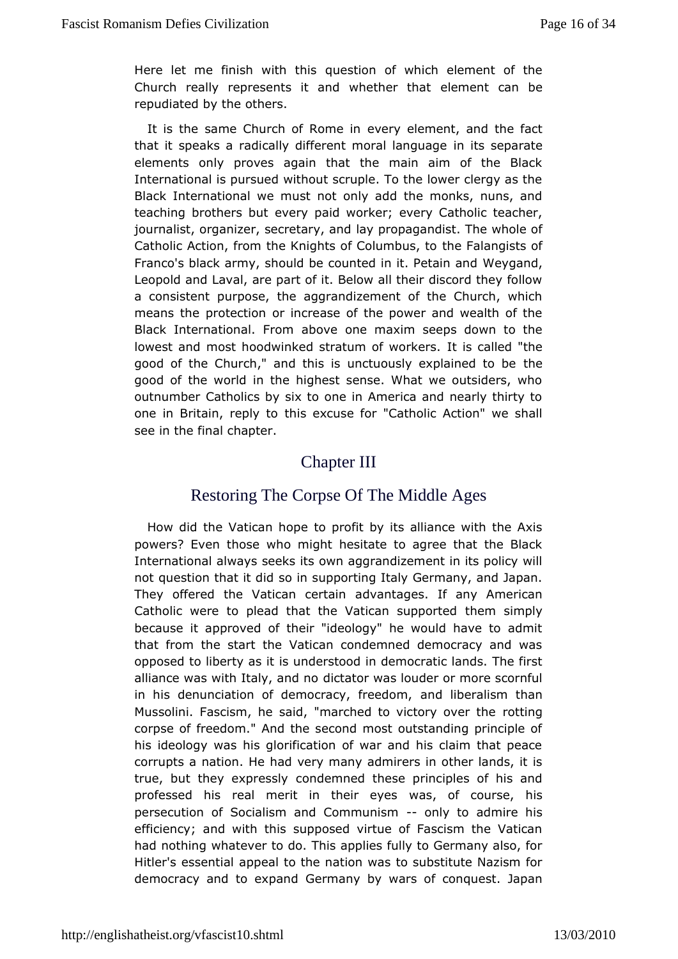Here let me finish widueshion of which element of the Church really represents it and wehleethent the ath be repudiated by the others.

It is the same Church of erveanye elhement, and the fact that it speaks a radically different mooratslaneopaaantee elements only proves again that the main aim of the  $B1$ International is pursued without scruple. To the lower clergy Blacknternational we must not only add the monks, nuns, and teaching brothers vbut paid worker; every Catholic teacher, journalist, organizer, secreatyarpyropagandist. The whole of Catholic Action, from the Knights of the Gol Familian as is the of Franco's black army, should be counted Moveiye a Pheck, ain and Leopold and Laval, are part of it. Below all their discord they a consistent purpose, the aggrandizement of the Church, w means the otection or increase of the power and wealth of the Black International.abForwen one maxim seeps down to the lowest and most hoodwinked stratum lto is woon kleents." the good of the Church," and this is unctuously the plained to be good of the world in the highest sense. What we outsiders, outnumberatholics by six to one in America and nearly thirty one in Britain, retphliys toxcuse for "Catholic Action" we shall see in the final chapter.

## Chapter III

## Restoring The Corpse Of The Middlenes

How did the Vatican hope to profit by its alliance with the powers? Even those who might hesitate to agree that the B Internation aways seeks its own aggrandizement in its policy w not question that sixt ichidsupporting Italy Germany, and Japan. They offered the Vaticanadceernhalanges. If any American Catholic were to plead that the Vatictan emsuspipmoprityed because it approved of their "ideology" he would have to a thatfrom the start the Vatican condemned democracy and was opposed to libertiys ausnidterstood in democratic lands. The first alliance was with Italydiated controwas louder or more scornful in his denunciation of democracyand reiebdeomalism than Mussolini. Fascism, he said, "marched to woottiongy over the corpse of freedom." And the second most outstanding princip hisideology was his glorification of war and his claim that p corruptsnation. He had very many admirers in other lands, it true, but they expcossiley mned these principles of his and professed his real merit in theorism, exples course, his persecution of Socialism and Commluynitsom admire his efficiency; and with this supposed virtue of Fascism the Va had nothiwa hatever to do. This applies fully to Germany also, i Hitler's esseandipælal to the nation was to substitute Nazism fo democracy and to e Gpeamdany by wars of conquest. Japan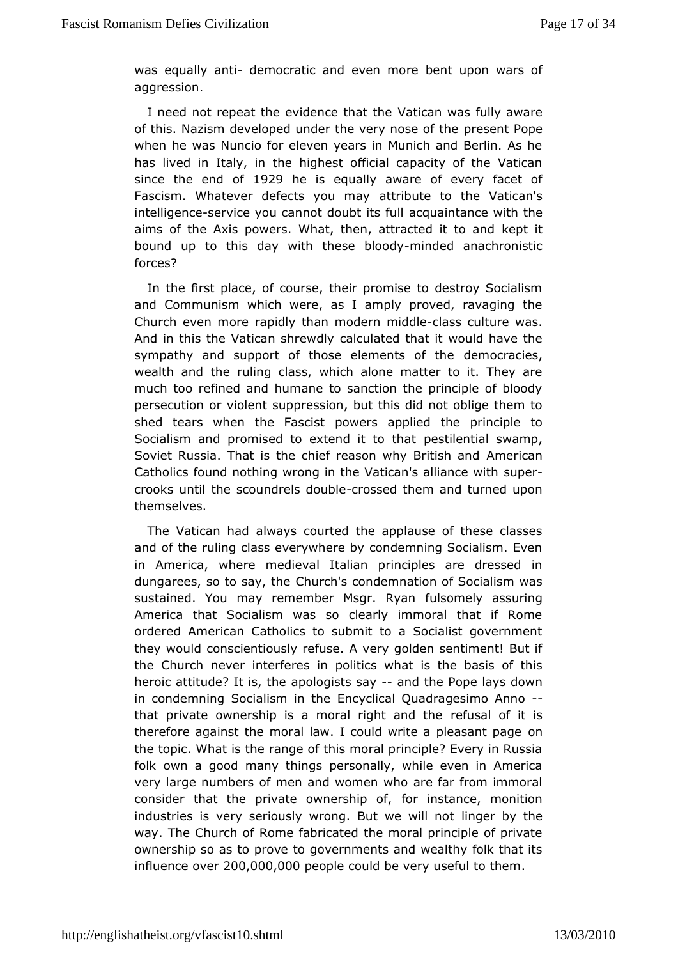was equally-admetrin ocratic and even bermodreupon wars of aggression.

I need not repeat the evidencleatting the as fully aware of this. Nazism developed under the verince shearste Poofptehe when he was Nuncio for eleven years in Munich and Berlin. haslived in Italy, in the highest official capacity of the Va since the end 1902f9 he is equally aware of every facet of Fascism. Whatever defects a to the vatican's intelligens cervice you cannot doubatc quaintance with the aims of the Axis powers. What, then, attraepeditit to and bound up to this day with themsended doday achronistic forces?

In the first place, of course, their promise to destroy Soci and Communism which were, as I amply proved, ravaging t Church even mapedly than modern-miads aleculture was. And in this the Vatican shalreweld that it would have the sympathy and support of those element are ortactives, wealth and the ruling class, which alone matter to it. They much too refined and humane to sanction the principle of bl persecution intent suppression, but this did not oblige them t shed tears when the baweirsst applied the principle to Socialism and promised to extend eistit centhal t swamp, Soviet Russia. That is the chief reason Awmmy Boratish and Catholics found nothing wrong in the Vatic and psealliance with crooks until the scoundred sodsed lehem and turned upon themselves.

The Vatican had always courted the applause of these cla and of the ruling class everywhere by condemning Socialism. in Americwhere medieval Italian principles are dressed ir dungarees, so to s&yhutbb's condemnation of Socialism was sustained. You may remember Misuglison Reylayn assuring America that Socialism was so clearly immoral that if Re ordered American Catholics to submit to a Socialist govern they wouddnscientiously refuse. A very golden sentiment! But the Church newterferes in politics what is the basis of this heroic attitude? It aipsol bigests -saaynd the Pope lays down in condemning Socialism in in the al Quadragesimo Anno that private ownership is a moral rigehitus and of thiet is therefore against the moral law. I could write on pleasant page the topic. What is the range of this moral principle? Every in folkown a good many things personally, while even in Amer very large numbemenofand women who are far from immoral consider that the private ownecrishiim pstoafinice, monition industries is very seriously wrong. Buitnoweer whild theot way. The Church of Rome fabricated the moral principle of p ownership so as to prove to governments and wealthy folk the influence  $\alpha$   $\alpha$  $\alpha$ ,  $\alpha$ ,  $\alpha$ ,  $\alpha$ ,  $\alpha$ ,  $\alpha$ ,  $\alpha$ ,  $\alpha$ ,  $\alpha$ ,  $\alpha$ ,  $\alpha$ ,  $\alpha$ ,  $\alpha$ ,  $\alpha$ ,  $\alpha$ ,  $\alpha$ ,  $\alpha$ ,  $\alpha$ ,  $\alpha$ ,  $\alpha$ ,  $\alpha$ ,  $\alpha$ ,  $\alpha$ ,  $\alpha$ ,  $\alpha$ ,  $\alpha$ ,  $\alpha$ ,  $\alpha$ ,  $\alpha$ ,  $\alpha$ ,  $\alpha$ ,  $\alpha$ ,  $\alpha$ ,  $\alpha$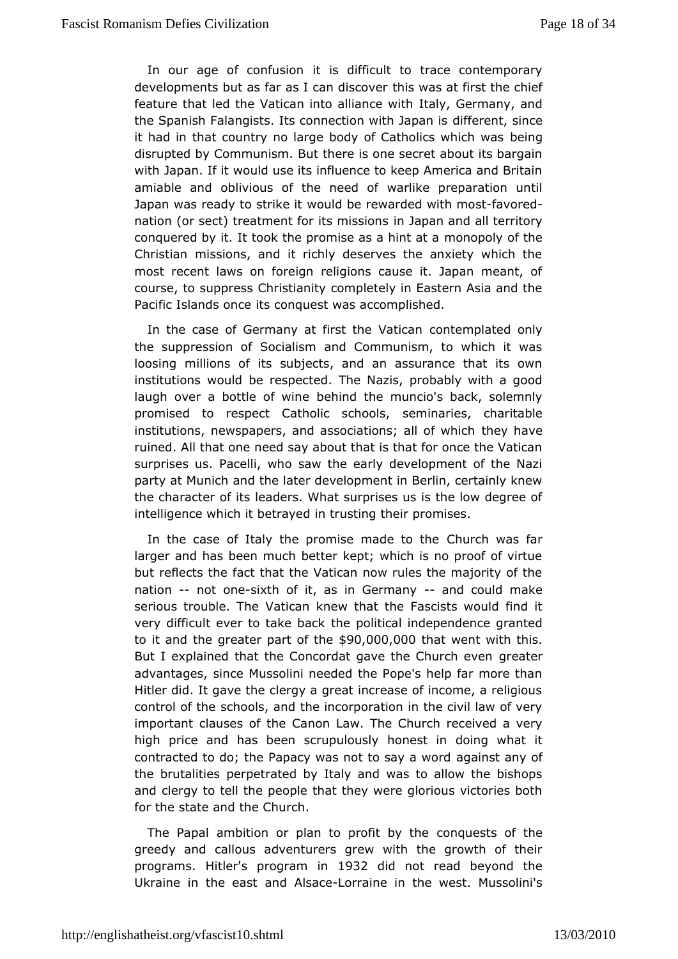In our age of confit is and ifficult to trace contemporary developments but as far as I ctah discussion and the chief feature that led the Vatican into latalliya, n Gee nomitalny, and the Spanish Falangists. Its connection if we the plane in de it had in that country no large body of Cathole lings which was disrupted by Communism. But there is one secret about its ba withJapan. If it would use its influence to keep America and B amiable and livious of the need of warlike preparation unti Japan was ready to swtowike bte rewarded with a woos d nation (or sect) treatment for ins Jmaps and all territory conquered by it. It took the promise mas na phont at the Christian missions, and it richly deserves the anxiety whic most recent laws on foreign religions cause it. Japan mean course, stoppress Christianity completely in Eastern Asia and Pacific Islands its nocenquest was accomplished.

In the case of Germany at first dbete Vapilcaated only the suppression of Socialism and Communism, to which it loosing millions of its subjects, and an assurance that its institutiowns uld be respected. The Nazis, probably with a goc laugh over a bottle dofe hwinde the muncio's back, solemnly promised to respect Catholic sesmon horaorlise, s, charitable institutions, newspapers, and associations evaluation  $\mathbf{e} \in \mathbb{R}$  which ruined. All that one need say about that is that for once the  $V$ surprises us. Pacelli, who saw the early development of the party at Mumainch the later development in Berlin, certainly knew the character befaiders. What surprises us is the low degree of intelligence which it brettrraysed ding their promises.

In the case of Italy the promise nCanduercho wab far larger and has been much better kept; which is no proof of v but reflects the fact that the Vatican now rules the majority nation- not onseixth of it, as in Germandy could make serious trouble. VaTthean knew that the Fascists would find it very difficult ever to take pabitical independence granted to it and the greater pa\$90,f000e00h0at went with this. But I explained that the Concordat gave the e a fraunch even advantages, since Mussolini needed the Pope's help far more Hitledid. It gave the clergy a great increase of income, a religious control of  $\texttt{stab}$  bols, and the incorporation in the civil law of  $v \in$ important clauses Cantome Law. The Church received a very high price and has been scruppud susily doing what it contracted to do; the Papacy was not  $a$ gas has wo roof the brutalities perpetrated by Italy and was to allow the bish and clergy to tell the people that they were glorious victorie for the tate and the Church.

The Papal ambition or plan to proofinit ubeys the boot the greedy and callous adventurers grew with the growth of  $t$ programs Hitlesr program in 1932 did not read beyond the Ukraine in the  $a$ enadst $A$ Isal $c$   $a$ grraine in the west. Mussolini's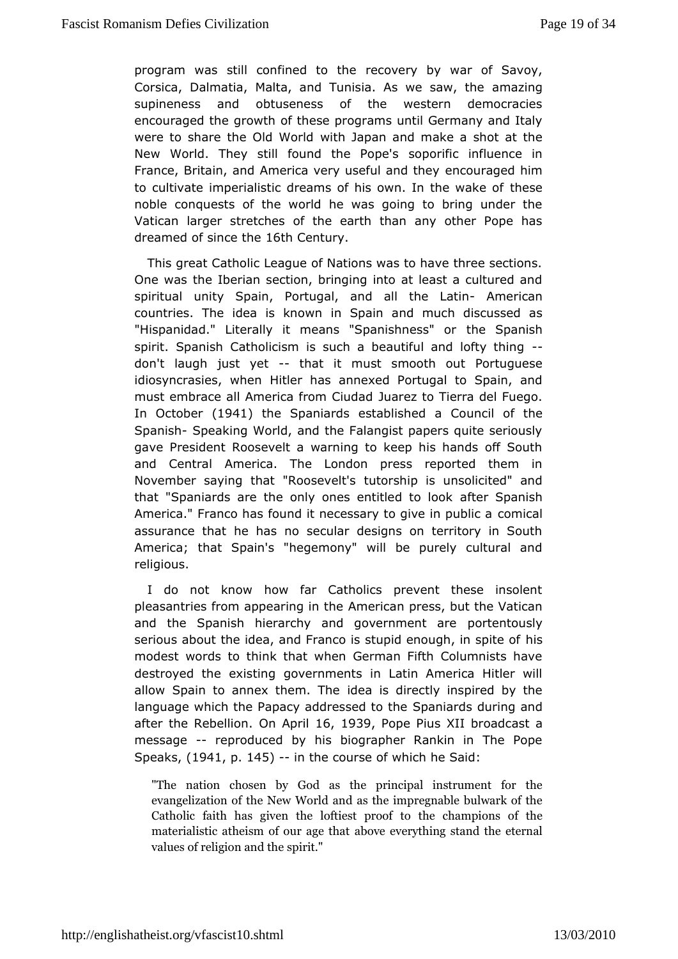program was still confined e to velive by war of Savoy, Corsica, Dalmatia, Malta, and Tunisia. Assmanzeinsgaw, the supineness and obtuseness of the western democraci encouraged dhoewth of these programs until Germany and Italy were to share the Oldwi Whorld pan and make a shot at the New World. They still found the Profice's influence in France, Britain, and America very useenfoud uanagetch environment to cultivate imperialistic dreams of his ownthersethe wake of noble conquests of the world he was going to bring under Vaticaharger stretches of the earth than any other Pope has dreamed of sincle6thCeentury.

This great Catholic League of Nations was to have three sec One was the Iberian section, bringing into at least a culture spirituaulnity Spain, Portugal, and all AmeerLaatinn countries. The idea is inknown and much discussed as "Hispanidad." Literally it means "Spatmiesh & panishor spirit. Spanish Catholicism is such a beautiful and lofty th don't laugh just--yehtat it must smooth out Portuguese idiosyncrasies, Hwihtbenr has annexed Portugal to Spain, and must embrace all America from a Cendiad Tierra del Fuego. In Octobet 941 the Spaniards establi Cheud cil of the Spanish peaking World, and the Falangist papers quite serious gave President Roosevelt a warning to keep his hands off & and Central merica. The London press reported them in November saying that "Robusteowship is unsolicited" and that "Spaniards are the only ones enait leerd Stpanioson America." Franco has found it necessary tocogmiveall public a assurance that he has no secular designs on territory in S Americat; hat Spain's "hegemony" will be purely cultural an religious.

I do notknow how far Catholics prevent these insolent pleasantries from appeariAmqeimictame press, but the Vatican and the Spanish hierarchy and govepomtentows by serious about the idea, and Franco is stupid diough, in spite modest words to think that when German Fifth Columnists h destroyed tehxeisting governments in Latin America Hitler wil allow Spain to annex theomea Tibse directly inspired by the language which the Papacy addreSsposeendiatrodsthoeluring and after the RebeO hom pri6, 1939 Pope Pius b Ybladcast a message-reproduced by his biographer Rankin in The Pope  $Speak$1941p.$   $145$  --in the course of which he Said:

"The nation to by God as the principal instrument for evangelization of Wtohred Nærwd as the impregnable bulwark of  $t$ Catholic faith has lopi the longer of to the champions of the materialistic atheism of abowe a gewet that hing stand the eternal values of religiosnpermitd "the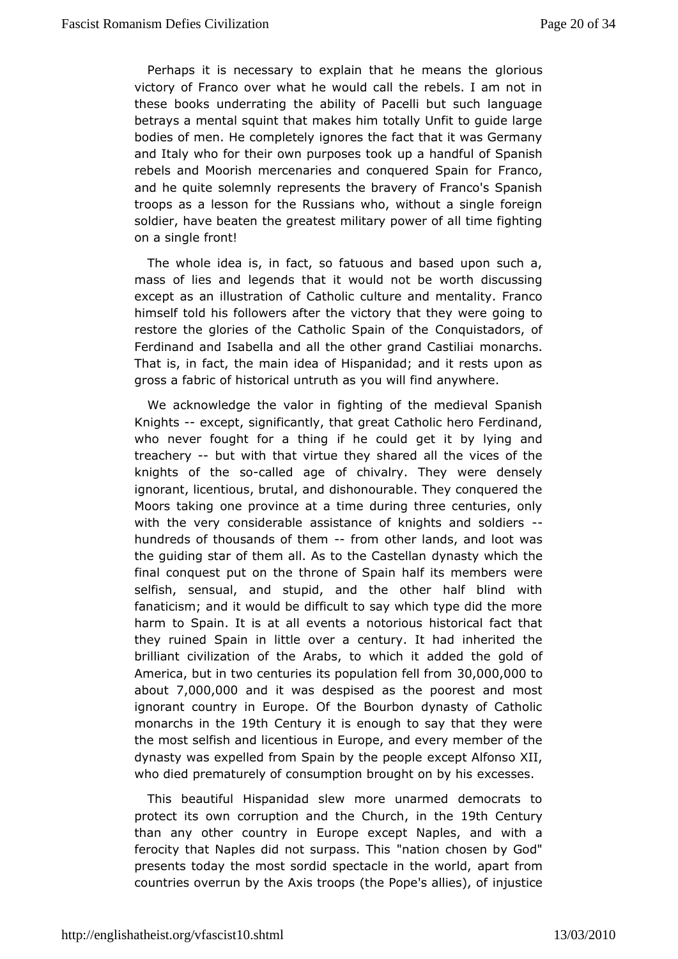Perhaps it is necessary to explain that a merimule ans the victory of Franco over what he would call the rebels. I am r thesebooks underrating the ability of Pacelli but such langu betrays a mesidalnt that makes him totally Unfit to quide large bodies of men. He comonietely the fact that it was Germany and Italy who for their own purupposaeshatnoodhkul of Spanish rebels and Moorish mercenaries and conqueamdoSpain for and he quite solemnly represents the bravery of Franco's Sp troopas a lesson for the Russians who, without a single fore soldier, have behad egareatest military power of all time fighting on a single front!

Thewhole idea is, in fact, so fatuous and based upon such mass of lies langends that it would not be worth discussing except as an illustraCtaio mobic culture and mentality. Franco himself told his followers victure that they were going to restore the glories of the Catholic CSoponaqiunisot a dtohres, of Ferdinand and Isabella and all the other gnaardh Gastiliai That is, in fact, the main idea of Hispanidad; and it rests up gross a fabric of historical untruth as you will find anywhere.

Weacknowledge the valor in fighting of the medieval Span Knights except, ignificantly, that great Catholic hero Ferdinand who never fought for af then could get it by lying and treachery but with that virtue theyalsht a head of the knights of the casiced age of chivalry. They were densely ignorant, licentious, brutal, and dishonourable. They conquer Moors taking province at a time during three centuries, only with the very considers sails the nce of knights and -soldiers hundreds of thousands offrom momenther lands, and loot was the guiding star of them all. As to dtyhnea Stays twe hilash the final conquest put on the throne of Spain half eits members selfish, sensual, and stupid, and the other half blind  $\prime$ fanaticism; ianwould be difficult to say which type did the mor harm to Spain. It is evaen as a notorious historical fact that they ruined Spain in littlee ownery.alt had inherited the brilliant civilization of the Arabs adtobe dwhihoch gibld of America, but in two centuries its popu3@ti0o0n0f@@lofrom  $abou\bar{v}$ ,000,000nd it was despised as the poorest and most ignorant country in Europe. Of the Bourbon dynasty of Cat monarchs in 1t the Century it is enough to say that they were the most selfish and line Europes, and every member of the dynasty was expelled from Spain beyx the of the pheolnes o XII, who died prematurely of consumption broeux goless weas by his

This beautiful Hispanidad slew more unarmed democrats protecitts own corruption and theinChueleOth Century than any other counEryroipne except Naples, and with a ferocity that Naples did not su'mpaats on Thiossen by God" presents today the most sordid spectaclæpart theomorid, countries overrun by the Axis troops (the Phopeticallies), of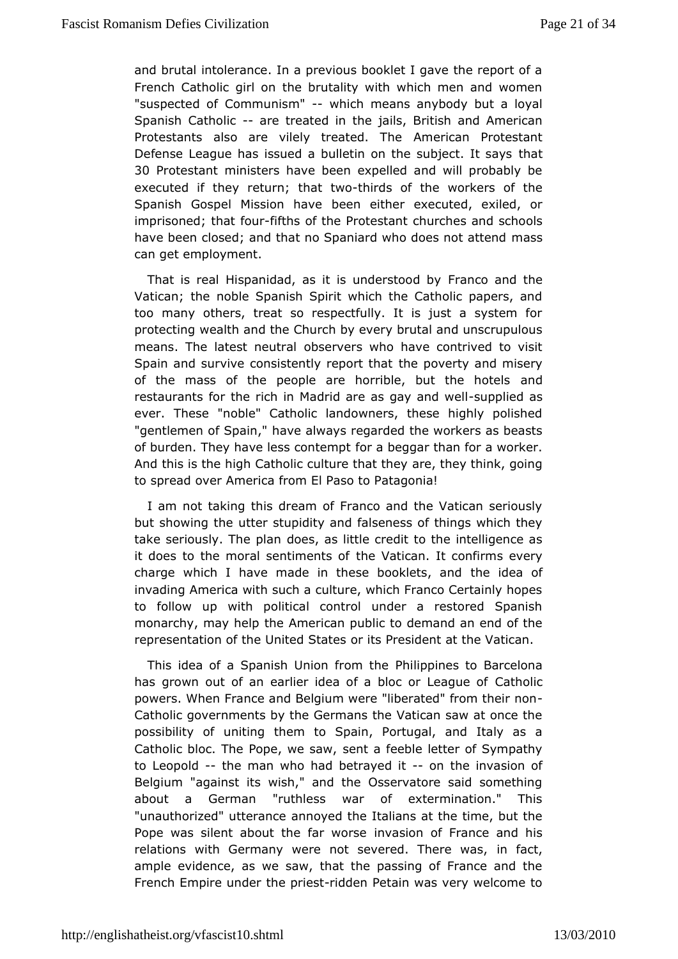and brutal intolerance. In a previous booklet I gave the report French Catholic girl on the brutality with which men and wc "suspected Communism-"which means anybody but a loyal Spanish Catholace treated the iails, British and American Protestants also are vilely treAntheedicaTnheProtestant Defense League has issued a bulletin on the heaubject. It says 30 Protestant ministers have been expelled and will probabl executed thiey return; that thim wo sof the workers of the Spanish Gospel Missiobneehmaveeither executed, exiled, or imprisoned; thatfiffolus of the Protehsulanthes and schools have been closed; and that no Spaniard whom bases not attend can get employment.

That is real Hispanidad, as it is uninchen resolution by he Vatican; the noble Spanish Spirit which the Catholic papers too many others, treat so respectfully. It is just a system protectiw galth and the Church by every brutal and unscrupulo means. The latest mebuster aviers who have contrived to visit Spain and survive consistently the poot that and misery of the mass of the people are horrible, bauntd the hotels restaurants for the rich in Madrid are  $\cos$  maximum diswell ever.These "noble" Catholic landowners, these highly polis "gentlemen of Sphaaivne" always regarded the workers as beasts of burden. They have less foonate the pator than for a worker. And this is the high Catholic cultauree, the asty theink, going to spread over America from El Paso to Patagonia!

I am not taking this dream of Franco and the Vatican serio but showing uther stupidity and falseness of things which the take seriously. The behands little credit to the intelligence as it does to the moral sentithen Vato fan. It confirms every charge which I have made in these btchoekledea aond invading America with such a culture, which Franco Certainly to follow up with political control under a restored Spa monarchy, may the elp American public to demand an end of the representation of the United i States ident at the Vatican.

This idea of a Spanish UniomPhirlompithees to Barcelona has grown out of an earlier idea of a bloccator olieague of powers. When France and Belgium were "liberated" from their Catholic governments by the Germans the Vatican saw at onc possibility uniting them to Spain, Portugal, and Italy as a Catholic bloc. The Pope, sewnet saake, eble letter of Sympathy to Leopold the man who had betrayed the invasion of Belgium "against its wish," and the Osservatore said something about a German "ruthless war of extermination." Thi "unauthorized" utteamannocyeed the Italians at the time, but the Pope was silent about the favawiconseof France and his relations with Germany were not severedn Thete was, ample evidence, as we saw, that the passing of France and Frenchmpire under the-midident Petain was very welcome to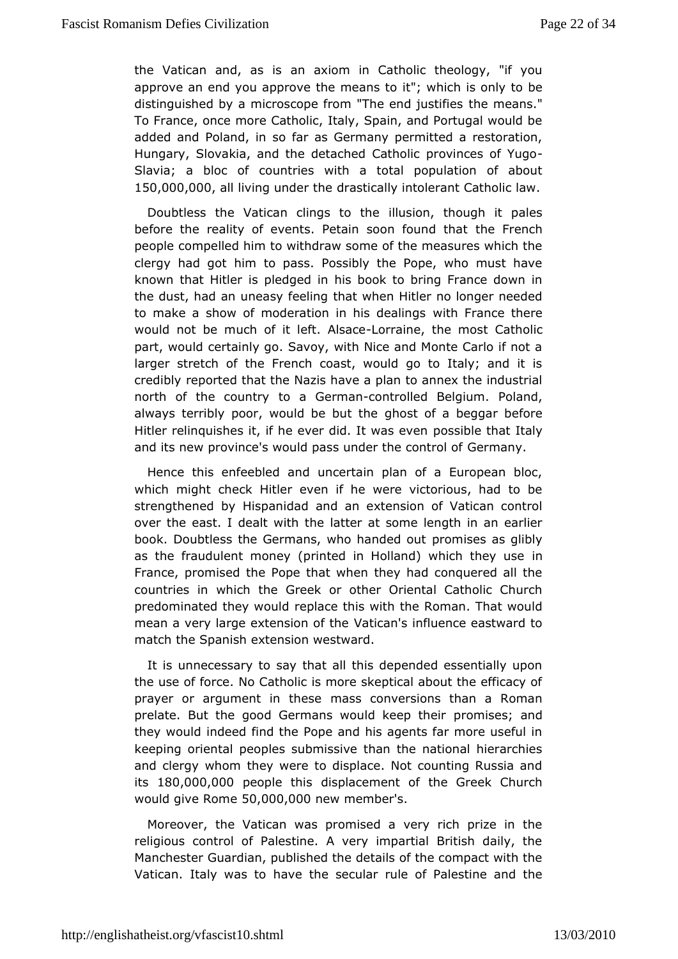the Vatican and, ans axiom in Catholic theology, "if you approve an end you approve thet'mewamischtois only to be distinguished by a microscope from "Tht the ee mode  $\ddot{a}$  unstituties To France, once more Catholic, Italy, Spain, and Portugal wo added and Poland, in so far as Germany permitted a restora Hungary, lovakia, and the detached Catholic provinces of Yugo Slavia; a blo $\infty$  owe first with a total population of about 150,000,QQa0l living undedrabelically intolerant Catholic law.

Doubtless the Vatican clingblusoonhethough it pales before the reality of events. Petain soton formemoththat people compelled him to withdraw some of the measures which clergy had got him to pass. Possibly the Pope, who must i known that Hislepledged in his book to bring France down in the dust, had an uneas wheele wing n Hitler no longer needed to make a show of moderation in whisthd Faatimenges there would not be much of it lettorr<sup>o</sup>alismes ethe **Casholic** part, would certainly go. Savoy, with Nice and Monte Carlo if larger stretch of the French coast, would go to Italy; and credible ported that the Nazis have a plan to annex the indust north of the coutotray Germanntrolled Belgium. Poland, always terribly poor, would boch obsuit othe beggar before Hitler relinquishes it, if he ever didos sti was the wentaly and its new province's would pass unde Gethme amontrol of

Hence this enfeebled and uncertain plan of a European t whichmight check Hitler even if he were victorious, had to strengthened Hibsypanidad and an extension of Vatican control over the east. I dealt wait the rtheet some length in an earlier book. Doubtless the Germans, who pham deeds oaut qlibly as the fraudulent money (printed in Holland) in hich they us France, promised the Pope that when they had conquered all countries winich the Greek or other Oriental Catholic Churc predominated they we pulace this with the Roman. That would mean a very large extensi baticant influence eastward to match the Spanish extension westward.

It is unnecessary to say that all this depended essentially the use of  $f$ d  $\alpha$  e  $C$  atholic is more skeptical about the efficacy  $\alpha$ prayer or argument inmahsess econversions than a Roman prelate. But the good Germans would roke pesheand they would indeed find the Pope and his agents far more use keeping oriental peoples submissive than the national hierar and clergy hom they were to displace. Not counting Russia an its180,000,000 cople thdissplacement of the Greek Church would give  $R50,000,000$  wmember's.

Moreover, the Vatican was promised a very rich prize in religious control of Palestine. A very impartial British dail Manchesteuardian, published the details of the compact with the Vatican. Italy whave the secular rule of Palestine and the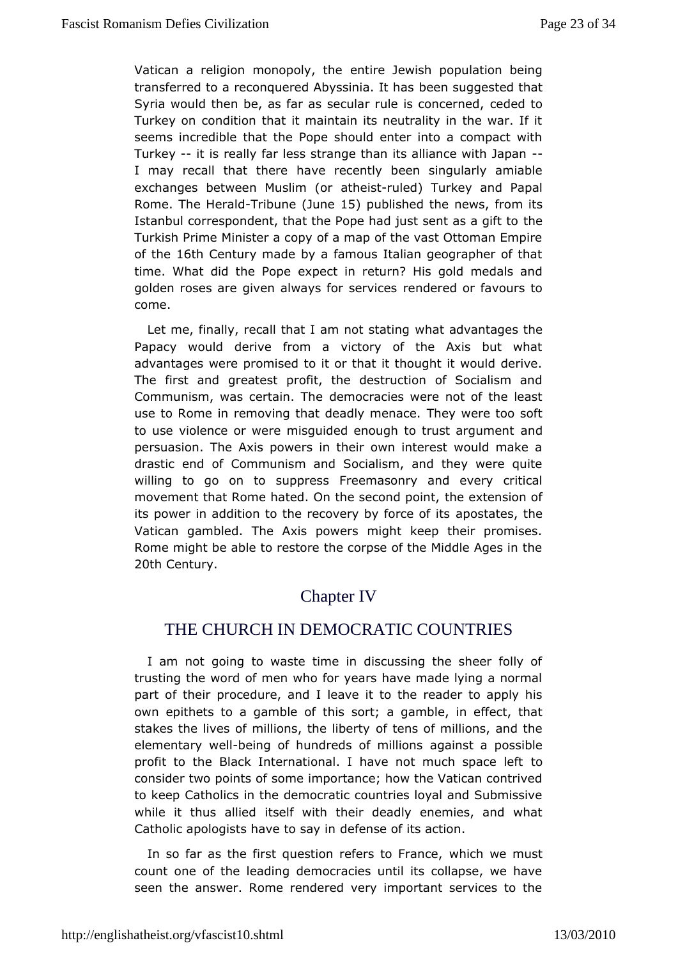Vatican a religion monopeonity in the ewish population being transferred to a reconquered Aby seien in as uld gleassed that Syria would then be, as far as secular rudediesd ctoncerned, Turkey on condition that it maintain its neutrality in the war seems incredible that the Pope should enter into a compact Turkey-it iseally far less strange than its allian-ce with Japan I may recall that have recently been singularly amiable exchanges between Musaitmhei (sotuled) Turkey and Papal Rome. The HeTrail bound only unel 5) published the ews, from its Istanbul correspondent, that the Pope had justtheent as a gift Turkish Prime Minister a copy of a map of the vast Ottoman E of the 6th Century made by a famous Italian geographer of th time. What did the e Pppet in return? His gold medals and golden roses are given always for deer revolcoers favours to come.

Let me, finally, recall that I amwhat adatangages the Papacy would derive from a victory of the Axis but wh advantages were promised to it or that it thought it would de The first againtest profit, the destruction of Socialism and Communism, was certadrem bloeacies were not of the least use to Rome in removing that dead hye yn ewreare etoo soft to use violence or were misquided enough to andust argument persuasion. The Axis powers in their own interest would ma drastic end Communism and Socialism, and they were quite willing to go on to sufprements as only and every critical movement that Rome hated. On the stence pedtopshon of its power in addition to the recovery aby obstactes of this Vatican gambled. The Axis powers might keep their promis Romemight be able to restore the corpse of the Middle Ages in 20thCentury.

# Chapter IV

## THE CHURCH IN DEMOCRATICCOUNTRIES

I am not going to waste time in discussing the sheer foll trusting the word of men who for years have made lying a no part of the iocedure, and I leave it to the reader to apply hi own epithets to a gamtholse soutri; a gamble, in effect, that stakes the lives of millions, of hee his beorfty millions, and the elementary -wheihg of hundreds of angiblions a possible profit to the Black International. I have not trouch space le consider two points of some importance; how the Vatican cont to kee **C**atholics in the democratic countries loyal and Submiss while it thus aillaied with their deadly enemies, and what Catholic apologists haved ed estay in dits action.

In so far as the first question refewrito for Francest count one of the leading democracies until its collapse, we seen the answer. Rome rendered very important services to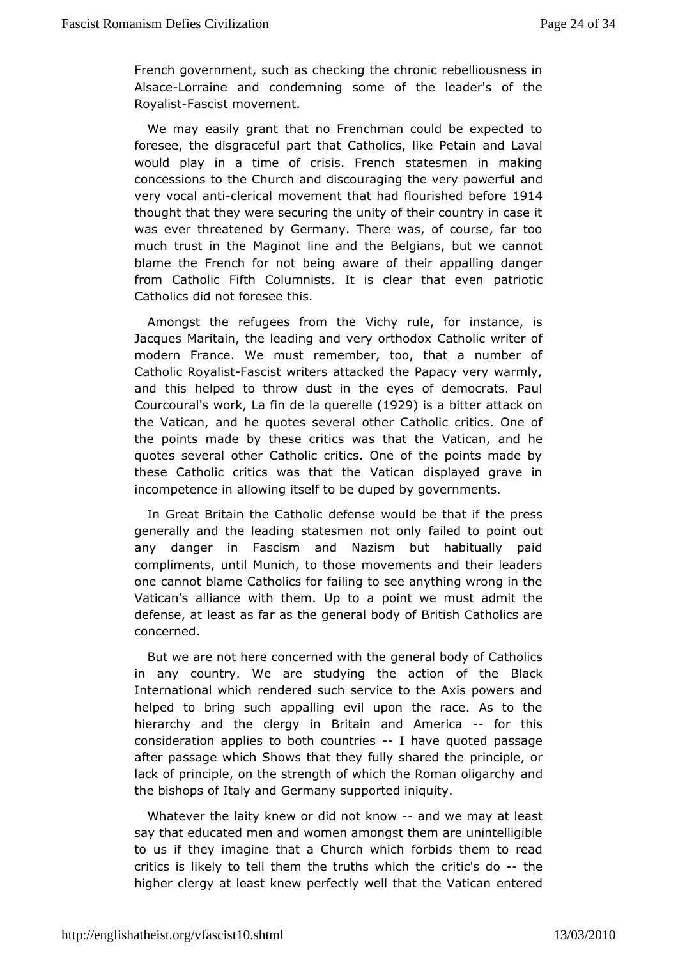French governmeunth as checking the chronic rebelliousness in Alsacleorraine and condemnomine of the leader's of the Royali Fascist movement.

We may easily ghant tho Frenchman could be expected to foresee, the disgraceful **Qathothas**, like Petain and Laval would play in a time of crisisstat Ferench in making concessions to the Church and discouraging the very powerful very vocal -ahetrical movement that had flourits held before thought they were securing the unity of their country in case was evehreatened by Germany. There was, of course, far to much trust in the Magenoatnd the Belgians, but we cannot blame the French for not being haware poorflling danger from Catholic Fifth Columnists. It is cleatribited even Catholics did not foresee this.

Amongst the refugees from the Vichule, for instance, is Jacques Maritain, the leading and Ceartyh onlitch on the rof modern France. We must remember, too, that a number Catholic Roy Faaiss dist writers attacked the Papacy very warmly and thisselped to throw dust in the eyes of democrats. Pal Courcoural's work, Laa foin echee (1929 is a bitter attack on the Vatican, and he quotestseweCatholic critics. One of the points made by these critics was titulished he quotes several other Catholic critics. One of the points ma these Catholic critics was that the Vatican displayed grav incompetencælliowing itself to be duped by governments.

In Great Britain the **Cafbosi**c would be that if the press generally and the leading statesmfeanilend tto mployint out any danger in Fascism and Nazism but habitually pa compliments, until Munich, to those movements and their lea one cannot blamte olics for failing to see anything wrong in the Vatican's alliance witb pthtoma point we must admit the defense, at least as far as the gemential hb Coday hooflics are concerned.

But we are not here concernegde meith the dy of Catholics in any country. We are studying the actionals of the International which rendered such service to the Axis powers helped tooring such appalling evil upon the race. As to the hierarchy and the cleBogiytain and Americar this consideration applies to both-condunteries soted passage after passage which Shows that they fupility in stip alter do the lack of principle, on the strength of which the nRdoman oligarch the bishops of Italy and Germany supported iniquity.

Whatever the ety knew or did not and we may at least say that educated mwomand amongst them are unintelligible to us if they imagine that a Chfuorrobhidwohibelem to read critics is likely to tell them the trudhistic bich thee higher clergy at least knew perfectly well ethe atreaded Vatican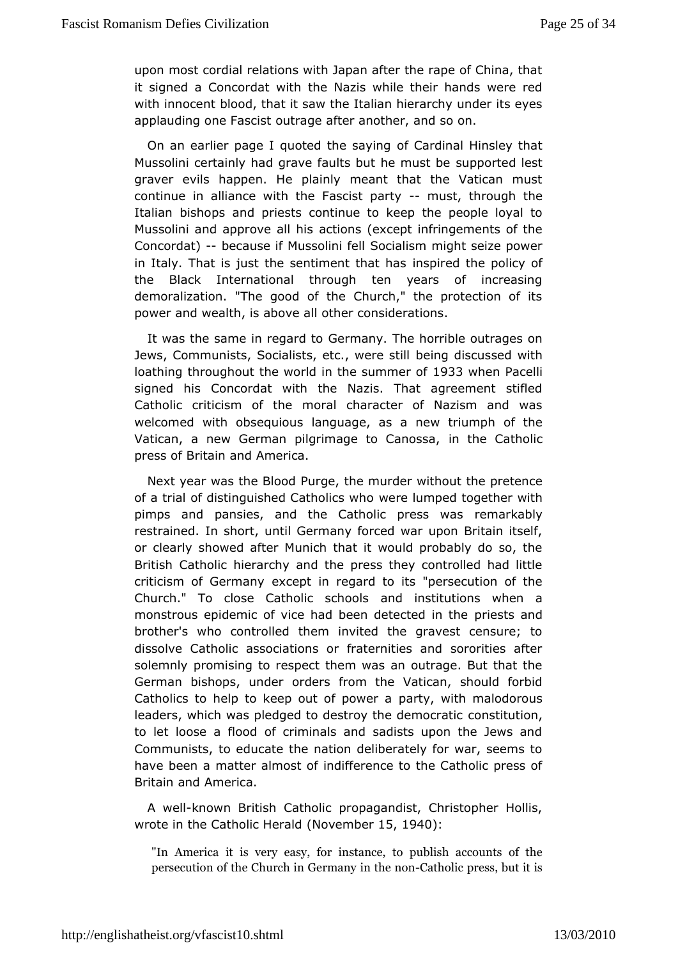upon most cordial relations with Japan after the rape of China it signed a Concordat with the Nazis while their hands were with innocbhotod, that it saw the Italian hierarchy under its eye applauding one Foaustor and after another, and so on.

On an earlier page I quoted offie Caadinal Hinsley that Mussolini certainly had grave faults bout pher mends tebset graver evils happen. He plainly meant that the Vatican m continue in alliance with the  $F$ asmisst, pathtnough the Italian bishaps priests continue to keep the people loval to Mussolini and approveacalbmss (except infringements of the Concordat) because if Musso Spitallism might seize power in Italy. That is just the sentimems puned has policy of the Black International through ten years of increasi demoralization. "The good of the Church," the protection o power and wealth, is above all other considerations.

It was the same in regard to Gy. The horrible outrages on Jews, Communists, Socialists, ethee inworde is still being vith loathing throughout the world in the 986 mmeer Pacelli signed his Concordat with the Nazis. That agreement sti Catholiccriticism of the moral character of Nazism and wa welcomed with obsedaingusage, as a new triumph of the Vatican, a new German pilgrimage to ChaenoCsastah, olic press of Britain and America.

Next year was the PBulrogoed, the murder without the pretence of a trial of distinguished Cantholics much end together with pimps and pansies, and the Catholicrepmanesksablwas restrained. In short, until Germany forced war upon Britain i or clearly showed after Munich that it would probably do so Britis Gatholic hierarchy and the press they controlled had li criticism of Germana expert in regard to its "persecution of the Church." To close Catholicansdchionos istutions when a monstrous epidemic of vice had been detecstesd aindthe brother's who controlled them invited the gravest censure dissolve Catholic associations or fraternities and sororities solemnby romising to respect them was an outrage. But that the German bishops, wonders from the Vatican, should forbid Catholics to help to keep out poarpyo, wew it ha malodorous leaders, which was pledged to destroy **the sdem biomatic** to let loose a flood of criminals and sadists upon the Jews Communists, to educate the nation deliberately for war, seer have beematter almost of indifference to the Catholic press Britain a Annoterica.

A we Known British Catholic propagandist, Christopher Hol wrote in the Catholic N-bevreament  $\phi$  5, 1940:

"In Ameritcais very easy, for instance, to publish account persecution Colfutrict in Germany -Chathelicopress, but it is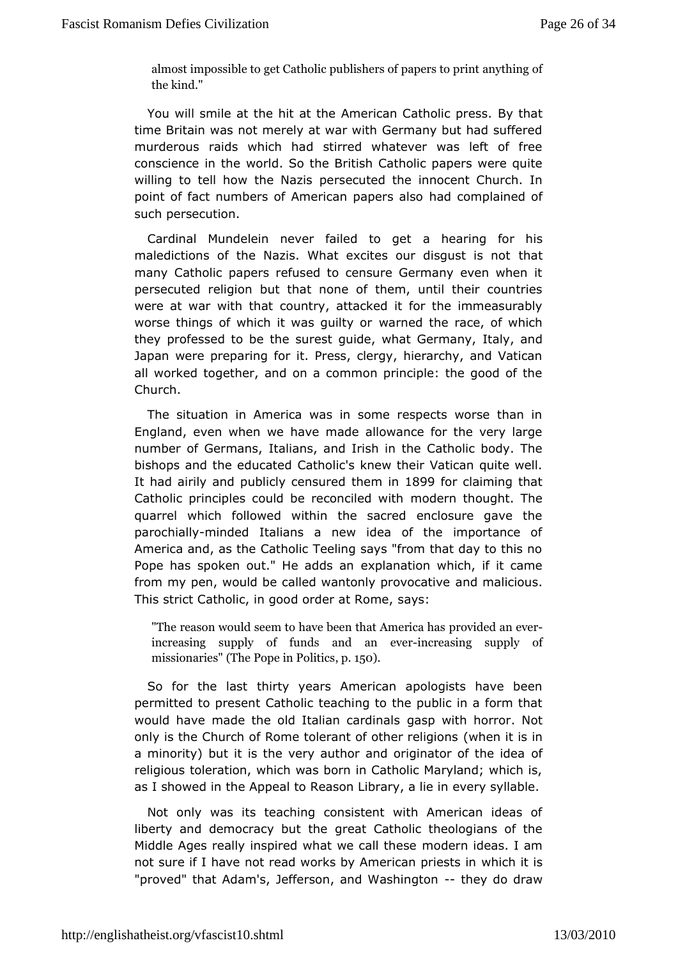almost imposspiebtleC adholic publishers of papers to print anyt thekind."

You will smile at the hit at the American BC at that ic press. time Britain was not merely at war with Germany but had suff murderous raids which had stirred whatever was left of f conscience in wolned. So the British Catholic papers were quite willing to tell how thee Necezcinsted the innocent Church. In point of fact numbers of Americanhad peosnpallasioned of such persecution.

Cardinal Mundelein never faileed hteparined for his maledictions of the Nazis. What excites outhalisgust is not many Catholic papers refused to censure Germany even whe persecutedligion but that none of them, until their countrie were at war with columttry, attacked it for the immeasurably worse things of which it was wannietd the race, of which they professed to be the surest guide, what  $y$ , Gærndhany, Japan were preparing for it. Press, clergy, hierarchy, and V all worked together, and on a common principle: the good of Church.

The situation in America was in some respects worse tha England, even when we have made allowance for the very  $\mathbf{I}$ . number of Germatasians, and Irish in the Catholic body. The bishops and the ed Caahedic's knew their Vatican quite well. It had airily and publicly them sum 609 for claiming that Catholic principles could be recmondelend thought. The quarrel which followed within the sacred enclosure qave parochiamliynded Italians a new idea of the importance of America and, a Sattheolic Teeling says "from that day to this no Pope has spoken out." Heead bas matrion which, if it came from my pen, would be called wantonlyanpolromadicatioius. This strict Catholic, in good ordaysat Rome,

"The reason would seem to have bepernovtihdætd Aamneeivcearhas increasing supply of funds -ian to deas ningevseupply of missiondries Pope in PoolbtD.cs

So for the It astty years American apologists have been permitted to present Ceathbling to the public in a form that would have made the old Italiagas parowint halshorror. Not only is the Church of Rome tolerant of (wtheer irtelisgions a minority) but it is the very author and origionfator of the id religious toleration, which was born in Catholic Maryland; wh as showed in the Appeal to Reason Library, a lie in every syll

Not onlwas its teaching consistent with American ideas c liberty and democracy **budath Gatholic theologians of the** Middle Ages really inspired what medcearh ideas. I am not sure if I have not read works by Amewrhciach ptriiessts in "proved" that Adam's, Jefferson, and - Whæsyhidrog tobrnaw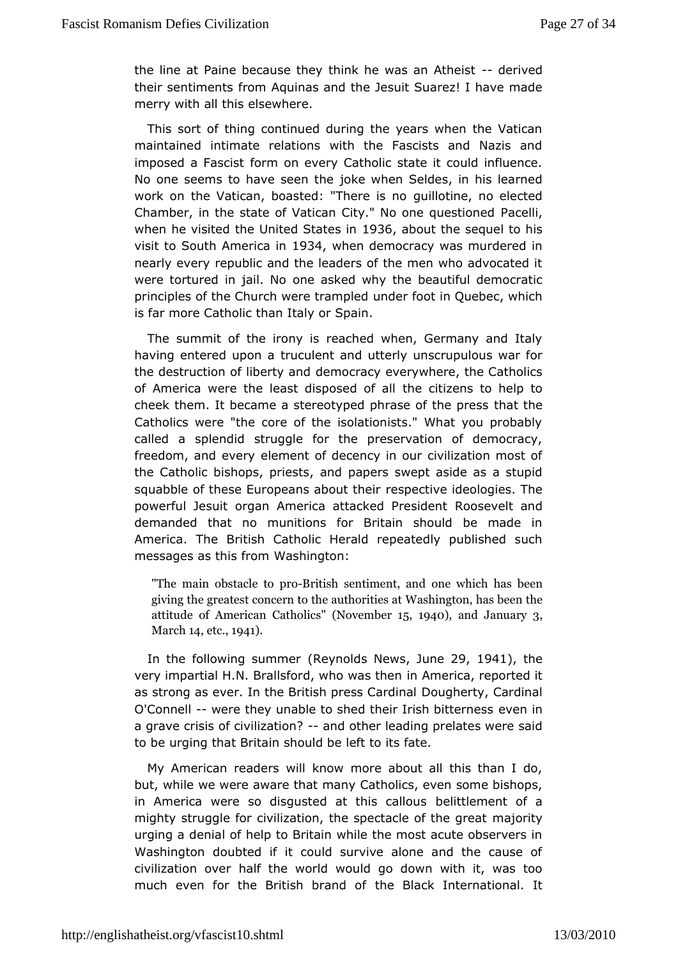theline at Paine because they think he wadeainvendtheist their sentiments Aquinas and the Jesuit Suarez! I have made merry with alletheawhere.

This sort of thing continued during the years when the Vat maintained intimate relations with the Fascists and Nazis and imposed a Fascrist on every Catholic state it could influence. No one seems to have sjocke wheen Seldes, in his learned work on the Vatican, boasted: "The endering enono elected Chamber, in the state of Vatican City." No Pacellguestioned when he visited the United 1986 the bout the sequel to his visit to South Ametiec3a4 when democracy was murdered in nearly eveepublic and the leaders of the men who advocated were tortured in jaoinhe Naosked why the beautiful democratic principles of the Church wereentheammfpoletiin Quebec, which is far more Catholic than Italy or Spain.

Thesummit of the irony is reached when, Germany and Italy having entered up rounculent and utterly unscrupulous war for the destruction of libeletmocand cy everywhere, the Catholics of America were the least disptonsee ocitizents to help to cheek them. It became a stereotyped phratheatofthtehe press Catholics were "the core of the isolationists." What you pro called a splendid struggle for the preservation of democr freedom, and ewleermy ent of decency in our civilization most of the Catholic bishops, apndesaspers swept aside as a stupid squabble of these Europeans redoscounstch hearideologies. The powerful Jesuit organ America attackReccosPerveeslitdeamtd demanded that no munitions for Britain should be made America. The British Catholic Herald repeatedly published su  $m$ essages as this Wfarson mington:

"The main obstac-Beritioshorso entime on the awninglich has been giving the greatest concern to Wtahsch and the ass abteen the attitude of American  $NC$ autholbics  $194)0$  and Janu3ary  $M$ arch4etc1941

In the following su(Rhenyerrolds N, e.Juus  $\approx$  9, 1941, the very impartial H.N. Brallsford, wilmo Awares it head neported it as strong as ever. In the British pDess hGeat pinGaardinal O'Connelwere they unable to shed their Iriet altitureness a grave crisis of civilization ther leading prelates were said to be urging that Britain should be left to its fate.

My American readdinelrsknow more about all this than I do, but, while we were aware thathmains, even some bishops, in America were so disgusted at belistt cenhilous of a mighty struggle for civilization, the spectmealje roifythe great urging a denial of help to Britain while the most acute observ Washington doubted if it could survive alone and the caus civilization baefr the world would go down with it, was too much even for the British **threanBlaccik** International. It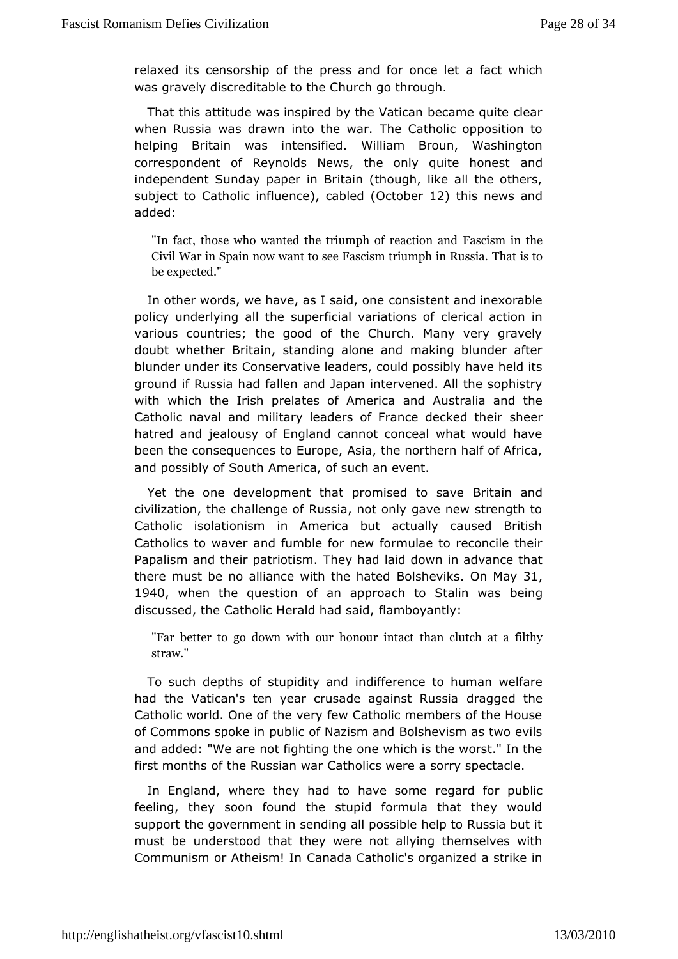relaxed its censorship of the press aned facent own heightet was gravely discreditable to the Church go through.

That thastitude was inspired by the Vatican became quite cle when Russia was dratewnthe war. The Catholic opposition to helping Britain was inteWsilifiand. Broun, Washington correspondent of Reynolds News, the only anguite honest independent Sunday paper in Britain (though, like all the ot subject Coatholic influence bele to Coctobe 1 r2) this news and added:

"In fact, those who wanted the triumFpalscoisfmreiancttihoen and Civil War in Spain now want to see Fasdissant tisiut on ph in Rus be expected."

In other words, we have, as  $t$  osnasids,  $t$  come and inexorable policy underlying all the superficial vearcation tions in various countries; the good of the Church. Many very gra doubt whether Britain, standing alone and making blunder and blunder unde Conservative leaders, could possibly have held it ground if Russia had nfo all apan intervened. All the sophistry with which the Irish prelates oan dAmAeusitoraalia and the Catholic naval and military leaders of Frans heedecked their hatred and jealousy of England cannot conceal what would been the onsequences to Europe, Asia, the northern half of Afr and possibly of Smethca, of such an event.

Yet the one development that promisBeroditation saande civilization, the challenge of Russia, not only gave new strer Catholic isolationism in America but actually caused Br Catholics to wan we fumble for new formulae to reconcile their Papalism and their patTrhioety shmad laid down in advance that there must be no alliance with  $B$  ohe hat  $B$ sh Ma $31$ , 1940 when the question of an approach to be Sthaplin was discussed, the Catholic Herafda had both  $\mathsf{dI}, \mathsf{y}$ :

"Far better to go down with outhamoncount chantact filthy straw."

To such depths of stupidhidly faemence to human welfare had the Vatican's ten year crusade adaagged Russeia Catholic world. One of the very few Catholic members of the I ofCommons spoke in public of Nazism and Bolshevism as two and added: "Wencatrefighting the one which is the worst." In the first months of the RusG athowiacrs were a sorry spectacle.

In England, where they had to have resome public feeling, they soon found the stupid formula that they wo support the government in sending all possible help to Russia must benderstood that they were not allying themselves wit Communism or Athei Cmahada Catholic's organized a strike in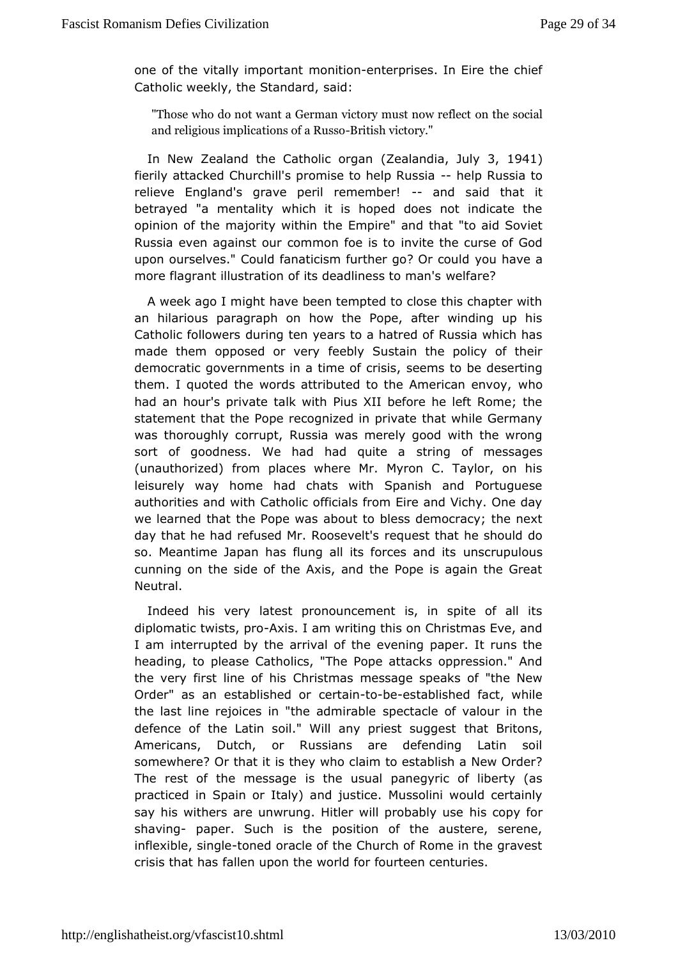one of the vitally immontiant monterprises. In Eire the chief Catholic weekly, the Ssaind ard,

"Those who do not want a German victogratheussochial reflect and religious implications bito where the uyss'o

In New Zealand the Cathol (Zealana hidruly3, 1941) fierily attacked Churchill's promise -to help J p R B sussissi ato relieve England's grave peril remembeald that it betrayed mentality which it is hoped does not indicate the opinion of the majorit whe it Emimpire" and that "to aid Soviet Russia even against our common vfioe tibet curse of God upon ourselves." Could fanaticism furth gound a Ger acould more flagrant illustration of its deadweers and man's

A week ago I might have been tempted to close this chapter an hilarious paragraph on how the Pope, after winding up Catholic follodwering ten years to a hatred of Russia which has made them opposed ofeebly Sustain the policy of their democratic governments in a time eeconfiscities itse deserting them. I quoted the words attributed to the Awmheorican envoy, had an hour's private talk with Pius XII before he left Rome statemenhat the Pope recognized in private that while Germa was thoroughly coRruspstia was merely good with the wrong sort of goodness. We had had straining of messages (unauthorized) from places where Mr. Myron C. Taylor, on leisurely way home had chats with Spanish and Portugue authorities and Cwath blic officials from Eire and Vichy. One day we learned that the Pape wat about bless democracy; the next day that he had refused Mr. Reosest itthat he should do so. Meantime Japan has flung all its us between and the stand its cunning on the side of the Axis, and the Pope is again the Neutral.

Indeed his very latest pronouncement is, in spite of all diplomatic twists, x psr.ol am writing this on Christmas Eve, and I aminterrupted by the arrival of the evening paper. It runs heading, to pleasteolics, "The Pope attacks oppression." And the very first line Cohfribsits as message speaks of "the New Order" as an establische daimobeestablished fact, while the last line rejoices in "the spaned ontarcal beloof valour in the defence of the Latin soil." Will any phineets tBrsituogrogse, st Americans, Dutch, or Russians are defending Latin s somewher@? that it is they who claim to establish a New Orde The rest of the meissatone usual panegyric of liberty (as practiced in Spain or Italy) aMds swood hiew ould certainly say his withers are unwrung. Hitler will i prodopy blyouse shaving paper. Such is the position of the austere, serene inflexible, stogleed oracle of the Church of Rome in the graves crisis thats fallen upon the world for fourteen centuries.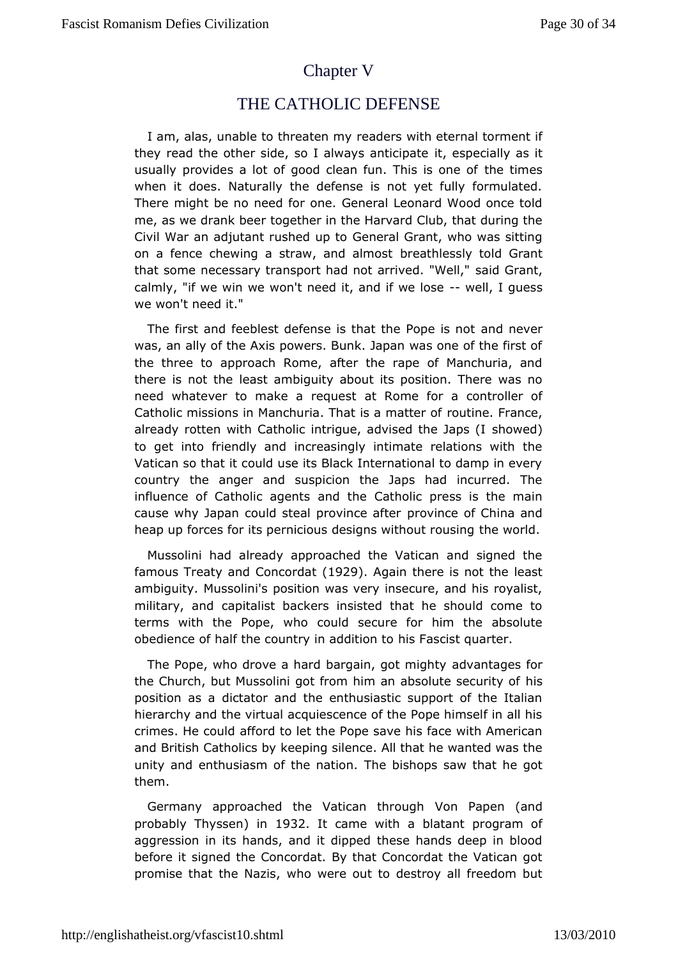# **[ChapterV](http://englishatheist.org/vfascist10.shtmlChapter)**

# THE CATHOLIC DEFENSE

I am, alas, unable to three adders with eternal torment if they read the other side, so I alwaiyts easnpleaciipaditye as it usually provides a lot of good clean funth  $E$  his is one of when it does. Naturally the defense is not yet fully formul Theremight be no need for one. General Leonard Wood once t me, as we drankt beether in the Harvard Club, that during the Civil War an adjutant rushGeecheumaltoGrant, who was sitting on a fence chewing a straw, abordeaathmheossally told Grant that some necessary transport had not arrid edirath W, ell, " calmly, "if we win we won't need it, anwelli, we qluesses we won't need it."

The first and feeblest defense is that almed Phoepreris not was, an ally of the Axis powers. Bunk. Japan was one of the i the three to approach Rome, after the rape of Manchuria, there is not lelast ambiguity about its position. There was no need whatever to make a artec Quoemste for a controller of Catholic missions in Manchuria. That rois tan mattern of the matter of  $\mathbf{c}$ . already rotten with Catholic intrigue, advised weble Japs (I to get into friendly and increasingly intimate relations with Vatican so that it could use its Black International to damp in country he anger and suspicion the Japs had incurred. The influence of Catholicangents Catholic press is the main cause why Japan could steal prpwowcecaftofr China and heap up forces for its pernicious designsthweith oultdrousing

Mussolini had already approached the Vatican and signed famous Treaty and Concoat and  $\frac{4}{9}$ .  $\frac{4}{9}$  and there is not the least ambiguitMussolini's position was very insecure, and his royal military, agadpitalist backers insisted that he should come t terms with the Popecow hob secure for him the absolute obedience of half the country imiadidations to quarter.

The Pope, who drove a hard bargaina, dy antanges typor the Church, but Mussolini got from him an abbosute security position as a dictator and the enthusiastic support of the I hierarchy d the virtual acquiescence of the Pope himself in all crimes. He capturilod to let the Pope save his face with America and British Catholkiecespbnyg silence. All that he wanted was the unity and enthusiasm of the heabishops saw that he got them.

Germany approached the Vatica Nothr Papen (and probably Thy)sismenh932. It came with a blatant program of aggression in its hands, and it dipped these hands deep in before sitgned the Concordat. By that Concordat the Vatican g promise that the Waaniswere out to destroy all freedom but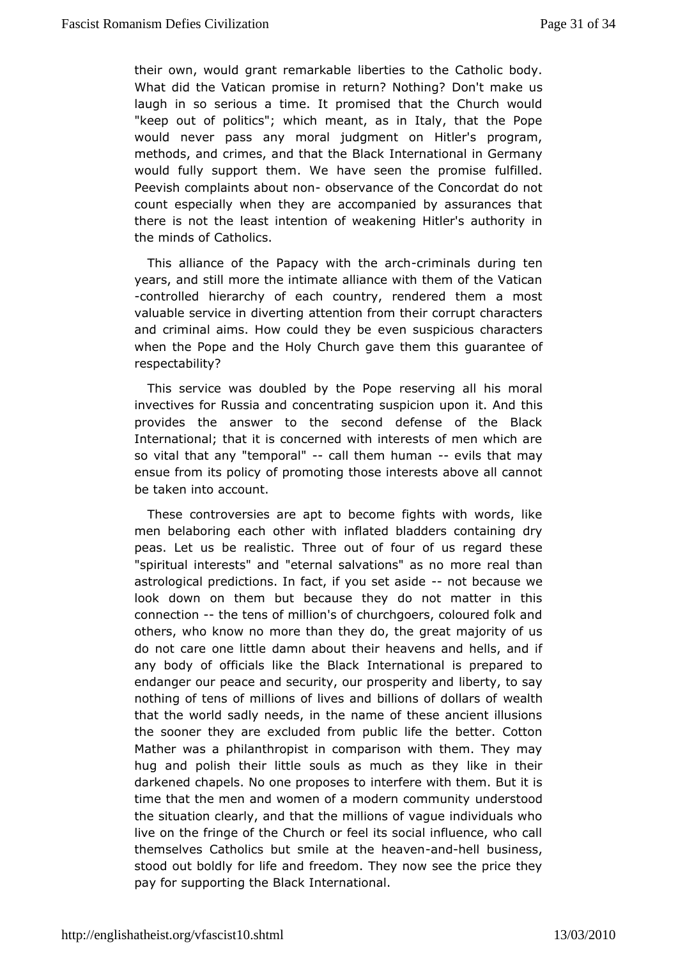their own, would grant remibele algeble to the Catholic body. What did the Vatican promise in retudion? In the use of s laugh in so serious a time. It promised that the Church w "keep out of politics": which meant, as in Italy, that the I would never pass moral judgment on Hitler's program, methods, and crimes, and that intheern Baltao hal in Germany would fully support them. We have seenfut the prodomise Peevish complaints abobsenomance of the Concordat do not count especially when they are accompanied by assurances there is not lelast intention of weakening Hitler's authority in the minds Coaftholics.

This alliance of the Papacy withim healarchuring ten years, and still more the intimate alliance with them of the V -controllend erarchy of each country, rendered them a most valuable service in datteenting an from their corrupt characters and criminal aims. How couledveme pulse picious characters when the Pope and the Holy Church gavearthet methol's respectability?

This service was doubled by reber Piongeall his moral invectives for Russia and concentrating its un and the supon provides the answer to the second defense of the Bla International; that it is concerned with interests of men which so vitahat any "temporal" them human vils that may ensue from its polipayomoting those interests above all cannot be taken into account.

Thes controversies are apt to become fights with words, li men belaboring wetchochr with inflated bladders containing dry peas. Let us be realistic.  $\overline{d}$  fin rfeo a rout us regard these "spiritual interests" and "eternal salmaotrion nreal asthanon astrological predictions. In fact, if-yrooutbeencta as ed eve look down on them but because they do not matter in th connection he tens of million's of churchgoers, coloured folk a others, who know ome than they do, the great majority of us do not care one little damme abbeavens and hells, and if any body of officials like the Baticok all is prepared to endanger our peace and security, our biboespye, rittoy saand nothing of tens of millions of lives and bilweasthof dollars of that the world sadly needs, in the name of these ancient illust thesooner they are excluded from public life the better. Co Mather was phailanthropist in comparison with them. They may hug and polish theisoluts leas much as they like in their darkened chapels. No one propeors eset with them. But it is time that the men and women of a modeum cheoms troundity the situation clearly, and that the millions of vague individual live on the fringe of the Church or feel its social influence, v themselves Catholics but smile at a holder heaveningss, stood out boflod rife and freedom. They now see the price they pay for supporting then the Irancaktional.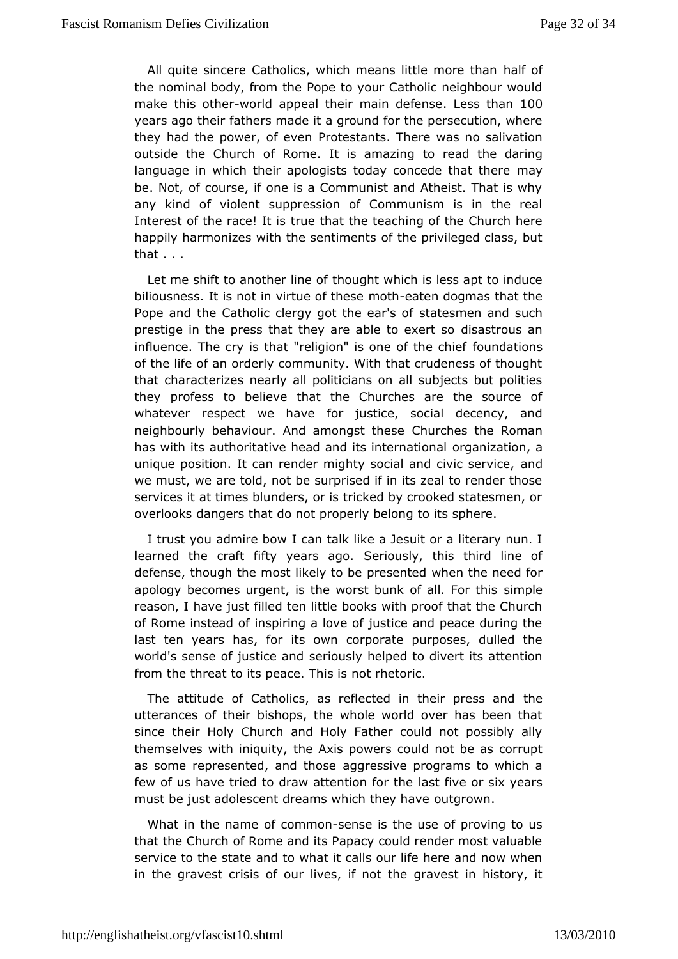All quite sincere Catholics, which means half of more than the nominal body, from the Pope to your Catholic neighbour v  $m$ akethis othworld appeal their main  $d$ essnshean 00 years ago the tiltrest made it a ground for the persecution, where they had the power, oPfroetees rtants. There was no salivation outside the Church of Rome. It is acreadzing daring language in which their apologists today comcaeyde that there be. Not, of course, if one is a Communist and Atheist. That i any kindf violent suppression of Communism is in the real Interest of the racer!u et tilsat the teaching of the Church here happily harmonizes with the soenthien eprisileged class, but that . . .

Let me shift to anothetrh biun ophotwhich is less apt to induce biliousness. It is not in virtmoethe atthemes dogmas that the Pope and the Catholic clergy gotsthe es mane's and such prestige in the press that they are abdies as the oxues rtasso influence. The cry is that "religion" is formen dattoneschief of the life of an orderly community. With that crudeness of th that characterizes nearly all politicians on all subjects but theyprofess to believe that the Churches are the source whatever respect we formavieustice, social decency, and neighbourly behaviour. And amo@hatchheses the Roman has with its authoritative head and its rignatheinz mation n, a a unique position. It can render mighty social and civic service we must, we are told, not be surprised if in its zeal to render services it at times blunders, or is tricked by crooked statesm overlookangers that do not properly belong to its sphere.

I trust you admire bow talk like a Jesuit or a literary nun. I learned the craft fifty ye**S**esricaupsdy, this third line of defense, though the most likely to be part the dd for apology becomes urgent, is the worst bunksion patel. For this reason, I have just filled ten little books with proof that the ofRome instead of inspiring a love of justice and peace durin last ten yehas, for its own corporate purposes, dulled the world's sense of justsie eicaunsdy helped to divert its attention from the threat to its peacet Thesoisic.

The attitude of Catholics, as reflected in the eir press and utterances of their bishops, the whole world over has been since the Hioly Church and Holy Father could not possibly all themselves with inihueitAy is powers could not be as corrupt as some represented, anadgetheosseive programs to which a few of us have tried to draw attehasdinfificer dihesix years must be just adolescent dreams which they mhave

What in the name of  $es$   $em$   $s$   $en$  is the use of proving to us that the Church of Rome and its Papacy could render most val service to sthe steat to what it calls our life here and now whe in the gravest criosuls loives, if not the gravest in history, it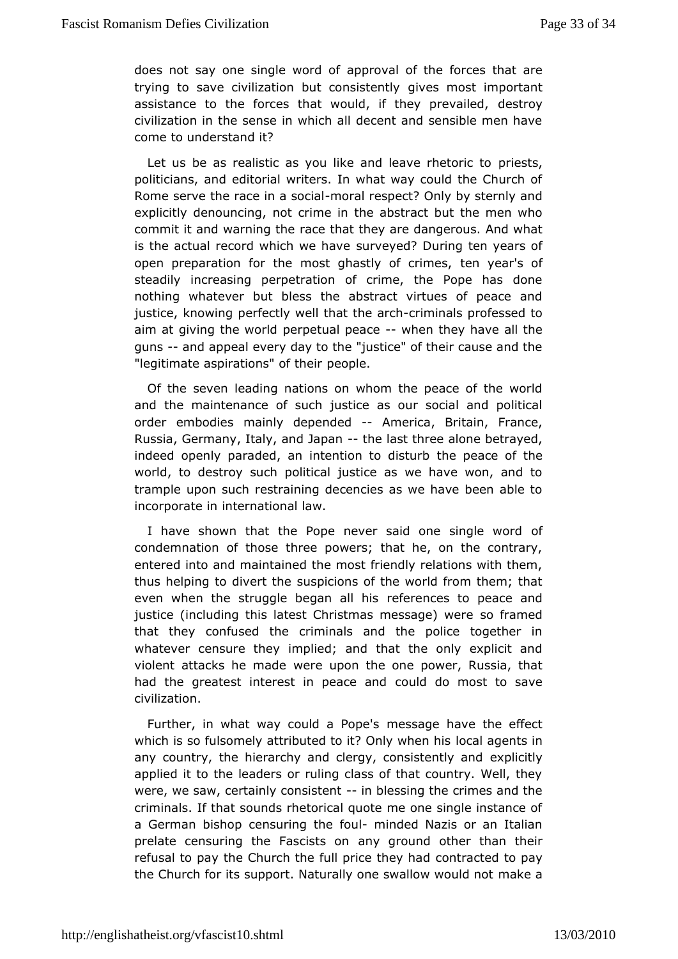does not say one single aword vaf of the forces that are trying to save civilization but gionessis treonstly important assistance to the forces that would, if the extroyevailed, civilization in the sense in which all decent and sensible me cometo understand it?

Let us be as realistic as you like and  $l$   $\oplus$  aive estriction to politicians, and editorial writers. In what way could the Chu Rome serve the race in  $m$   $\alpha$  solicitals pect? Only by sternly and explicitd pnouncing, not crime in the abstract but the men wh commit it and warnimagc the bat they are dangerous. And what is the actual record which suwrew ehy aerde? During ten years of open preparation for the most ghastlixe nofy ecarinseso, f steadily increasing perpetration of crime, the Pope has do nothing whatever but bless the abstract virtues of peace justice, knowpienng ectly well that the inairncalls professed to aim at giving the pweorpled tual peacwehen they have all the guns-and appeal every day justike" of their cause and the "legitimate aspirations beodpt beir

Of the seven leading nations on whom the peace of the w andthe maintenance of such justice as our social and polit order embodimeasinly dependedAmerica, Britain, France, Russia, Germany, Italy,  $a_n$  the laip and three alone betrayed, indeed openly paraded, an intention the topedasteurdof the world, to destroy such political justice as we have won, ar trample upon such restraining decencies as we have been at incorporatenternational law.

I have shown that the Pope never said oncef single word condemnation of those three powers; that he, on the contr entered imatod maintained the most friendly relations with them thus helping to diveutspheeions of the world from them; that even when the struggle beganefeall enhoies to peace and justice (including this latest Christmas smoe \$ saamge)d were that they confused the criminals and the police together whateverensure they implied; and that the only explicit an violent attacks he weadeupon the one power, Russia, that had the greatest interest in **peace and most to save** civilization.

Further, in what way could mae sPscapgee's have the effect which is so fulsomely attributed to it? I  $\alpha$  ally a general agents hims any country, the hierarchy and clergy, cemplistently and applied it to the leaders or ruling class of that country. Wel were, we saw, certainly consistessing the crimes and the criminals. that sounds rhetorical quote me one single instance a German bischop psuring the frounded Nazis or an Italian prelate censuring the Fassaniystsground other than their refusal to pay the Church the full paroin et allo bey dhized pay the Church for its support. Naturally one smake wa would not